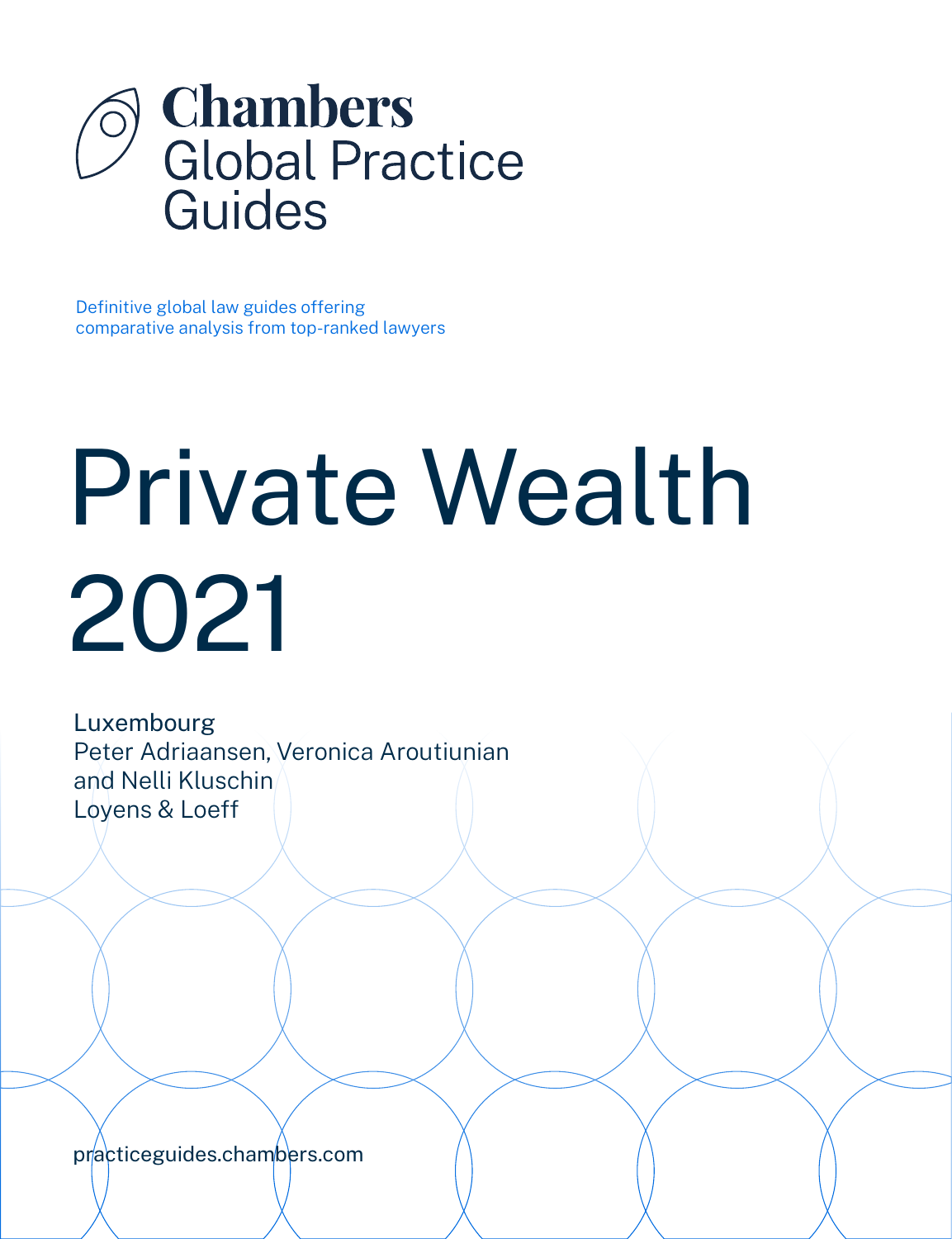

Definitive global law guides offering comparative analysis from top-ranked lawyers

# Private Wealth 2021

Luxembourg Peter Adriaansen, Veronica Aroutiunian and Nelli Kluschin Loyens & Loeff

[practiceguides.chambers.com](http://practiceguides.chambers.com)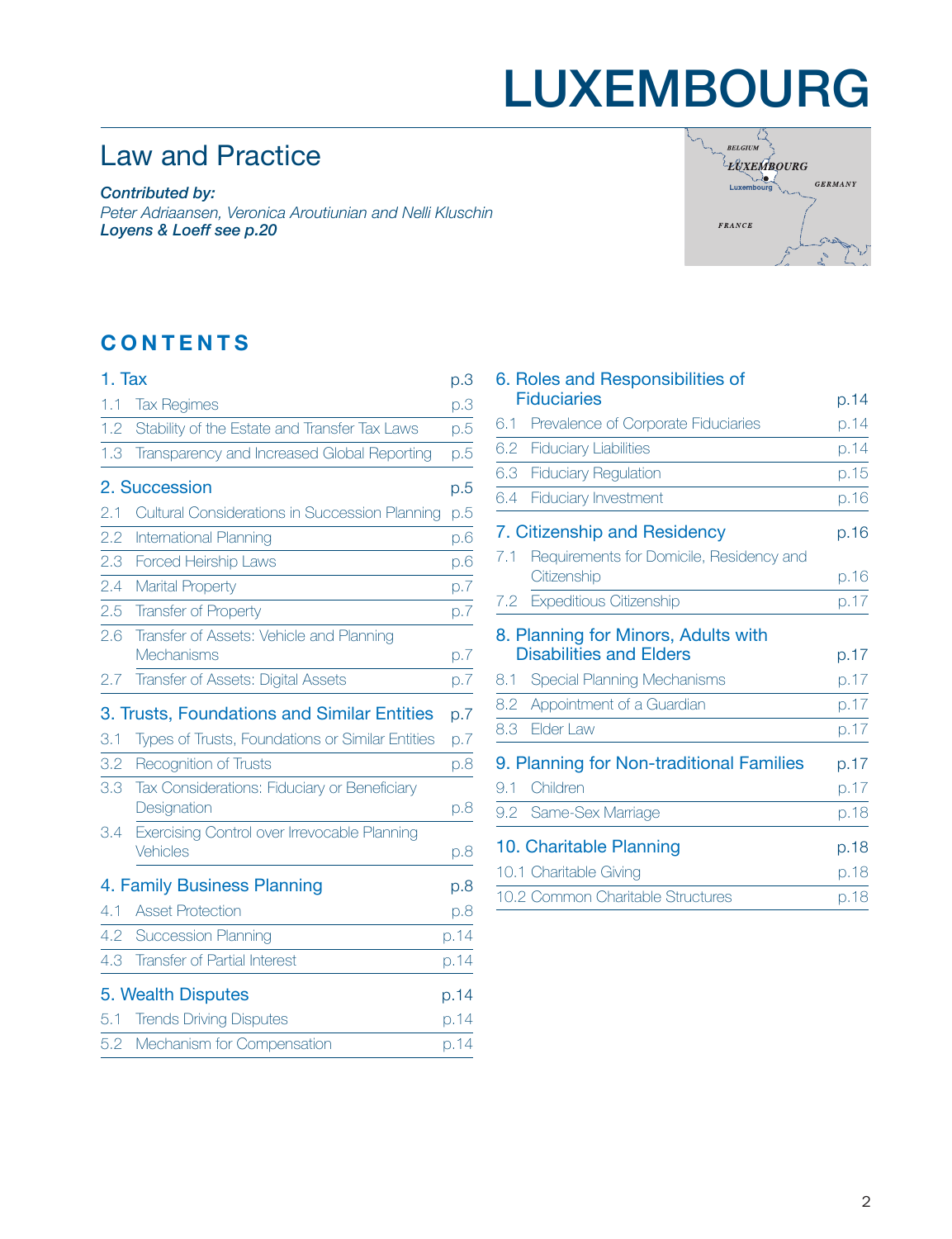## LUXEMBOURG

### Law and Practice

*Contributed by: Peter Adriaansen, Veronica Aroutiunian and Nelli Kluschin Loyens & Loeff [see p.20](#page-19-0)*



### **CONTENTS**

| 1. Tax |                                                             | р.З  |
|--------|-------------------------------------------------------------|------|
| 1.1    | <b>Tax Regimes</b>                                          | p.3  |
| 1.2    | Stability of the Estate and Transfer Tax Laws               | p.5  |
| 1.3    | Transparency and Increased Global Reporting                 | p.5  |
|        | 2. Succession                                               | p.5  |
| 2.1    | Cultural Considerations in Succession Planning              | p.5  |
| 2.2    | International Planning                                      | p.6  |
| 2.3    | Forced Heirship Laws                                        | p.6  |
| 2.4    | <b>Marital Property</b>                                     | p.7  |
| 2.5    | <b>Transfer of Property</b>                                 | p.7  |
| 2.6    | Transfer of Assets: Vehicle and Planning                    |      |
|        | <b>Mechanisms</b>                                           | p.7  |
| 2.7    | Transfer of Assets: Digital Assets                          | p.7  |
|        | 3. Trusts, Foundations and Similar Entities                 | p.7  |
| 3.1    | Types of Trusts, Foundations or Similar Entities            | p.7  |
| 3.2    | <b>Recognition of Trusts</b>                                | p.8  |
| 3.3    | Tax Considerations: Fiduciary or Beneficiary<br>Designation | p.8  |
| 3.4    | Exercising Control over Irrevocable Planning<br>Vehicles    | p.8  |
|        | 4. Family Business Planning                                 | p.8  |
| 4.1    | <b>Asset Protection</b>                                     | p.8  |
| 4.2    | <b>Succession Planning</b>                                  | p.14 |
| 4.3    | <b>Transfer of Partial Interest</b>                         | p.14 |
|        | 5. Wealth Disputes                                          | p.14 |
| 5.1    | <b>Trends Driving Disputes</b>                              | p.14 |
| 5.2    | Mechanism for Compensation                                  | p.14 |

|     | 6. Roles and Responsibilities of                                      |      |
|-----|-----------------------------------------------------------------------|------|
|     | <b>Fiduciaries</b>                                                    | p.14 |
| 6.1 | Prevalence of Corporate Fiduciaries                                   | p.14 |
| 6.2 | <b>Fiduciary Liabilities</b>                                          | p.14 |
| 6.3 | <b>Fiduciary Regulation</b>                                           | p.15 |
| 6.4 | <b>Fiduciary Investment</b>                                           | p.16 |
|     | 7. Citizenship and Residency                                          | p.16 |
| 7.1 | Requirements for Domicile, Residency and<br>Citizenship               | p.16 |
| 7.2 | <b>Expeditious Citizenship</b>                                        | p.17 |
|     | 8. Planning for Minors, Adults with<br><b>Disabilities and Elders</b> | p.17 |
| 8.1 | <b>Special Planning Mechanisms</b>                                    | p.17 |
| 8.2 | Appointment of a Guardian                                             | p.17 |
| 8.3 | Elder Law                                                             | p.17 |
|     | 9. Planning for Non-traditional Families                              | p.17 |
| 9.1 | Children                                                              | p.17 |
| 9.2 | Same-Sex Marriage                                                     | p.18 |
|     |                                                                       |      |
|     | 10. Charitable Planning                                               | p.18 |
|     | 10.1 Charitable Giving                                                | p.18 |
|     | 10.2 Common Charitable Structures                                     | p.18 |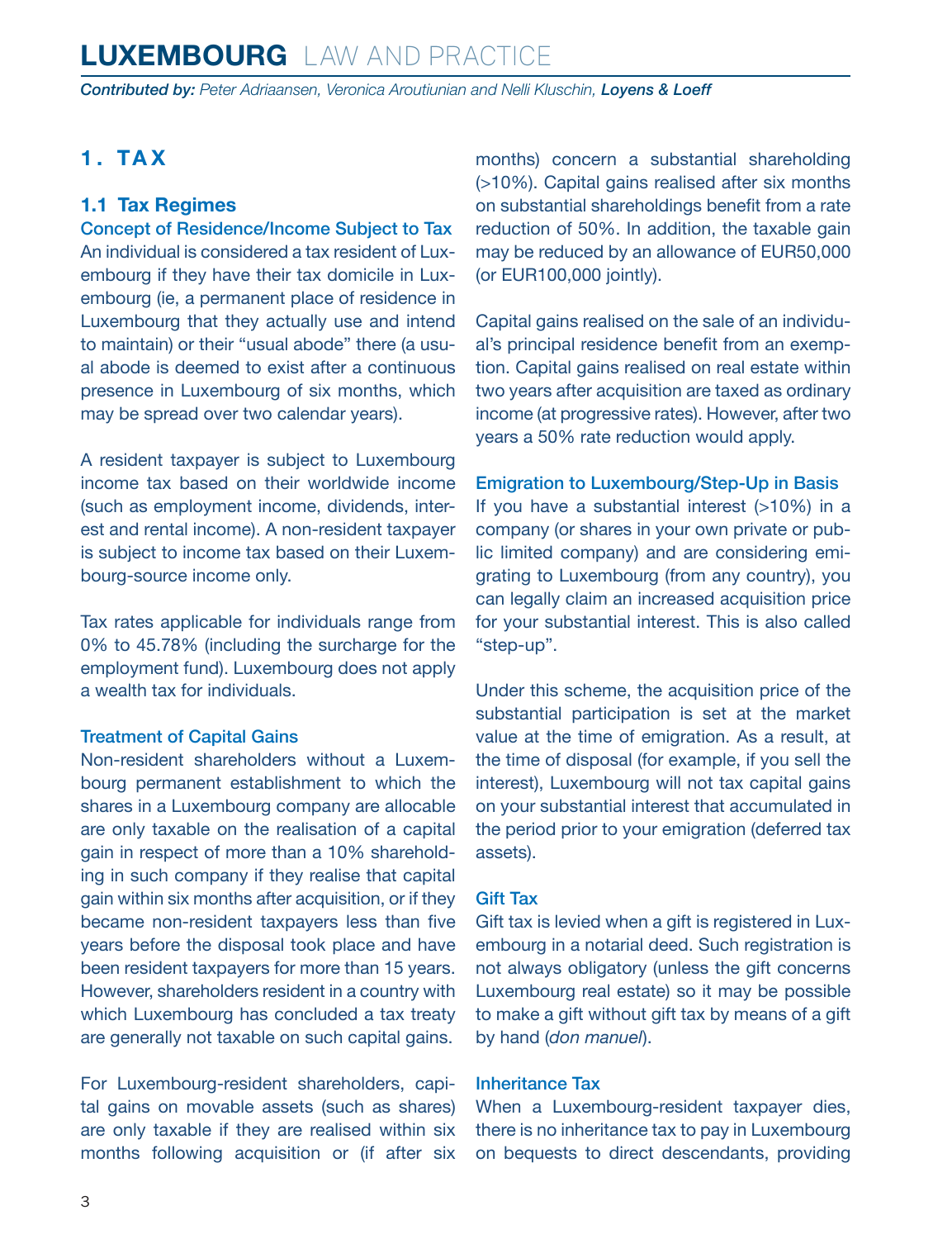<span id="page-2-0"></span>*Contributed by: Peter Adriaansen, Veronica Aroutiunian and Nelli Kluschin, Loyens & Loeff*

### **1. TAX**

### **1.1 Tax Regimes**

Concept of Residence/Income Subject to Tax An individual is considered a tax resident of Luxembourg if they have their tax domicile in Luxembourg (ie, a permanent place of residence in Luxembourg that they actually use and intend to maintain) or their "usual abode" there (a usual abode is deemed to exist after a continuous presence in Luxembourg of six months, which may be spread over two calendar years).

A resident taxpayer is subject to Luxembourg income tax based on their worldwide income (such as employment income, dividends, interest and rental income). A non-resident taxpayer is subject to income tax based on their Luxembourg-source income only.

Tax rates applicable for individuals range from 0% to 45.78% (including the surcharge for the employment fund). Luxembourg does not apply a wealth tax for individuals.

### Treatment of Capital Gains

Non-resident shareholders without a Luxembourg permanent establishment to which the shares in a Luxembourg company are allocable are only taxable on the realisation of a capital gain in respect of more than a 10% shareholding in such company if they realise that capital gain within six months after acquisition, or if they became non-resident taxpayers less than five years before the disposal took place and have been resident taxpayers for more than 15 years. However, shareholders resident in a country with which Luxembourg has concluded a tax treaty are generally not taxable on such capital gains.

For Luxembourg-resident shareholders, capital gains on movable assets (such as shares) are only taxable if they are realised within six months following acquisition or (if after six months) concern a substantial shareholding (>10%). Capital gains realised after six months on substantial shareholdings benefit from a rate reduction of 50%. In addition, the taxable gain may be reduced by an allowance of EUR50,000 (or EUR100,000 jointly).

Capital gains realised on the sale of an individual's principal residence benefit from an exemption. Capital gains realised on real estate within two years after acquisition are taxed as ordinary income (at progressive rates). However, after two years a 50% rate reduction would apply.

### Emigration to Luxembourg/Step-Up in Basis

If you have a substantial interest  $(>10%)$  in a company (or shares in your own private or public limited company) and are considering emigrating to Luxembourg (from any country), you can legally claim an increased acquisition price for your substantial interest. This is also called "step-up".

Under this scheme, the acquisition price of the substantial participation is set at the market value at the time of emigration. As a result, at the time of disposal (for example, if you sell the interest), Luxembourg will not tax capital gains on your substantial interest that accumulated in the period prior to your emigration (deferred tax assets).

### Gift Tax

Gift tax is levied when a gift is registered in Luxembourg in a notarial deed. Such registration is not always obligatory (unless the gift concerns Luxembourg real estate) so it may be possible to make a gift without gift tax by means of a gift by hand (*don manuel*).

#### Inheritance Tax

When a Luxembourg-resident taxpayer dies, there is no inheritance tax to pay in Luxembourg on bequests to direct descendants, providing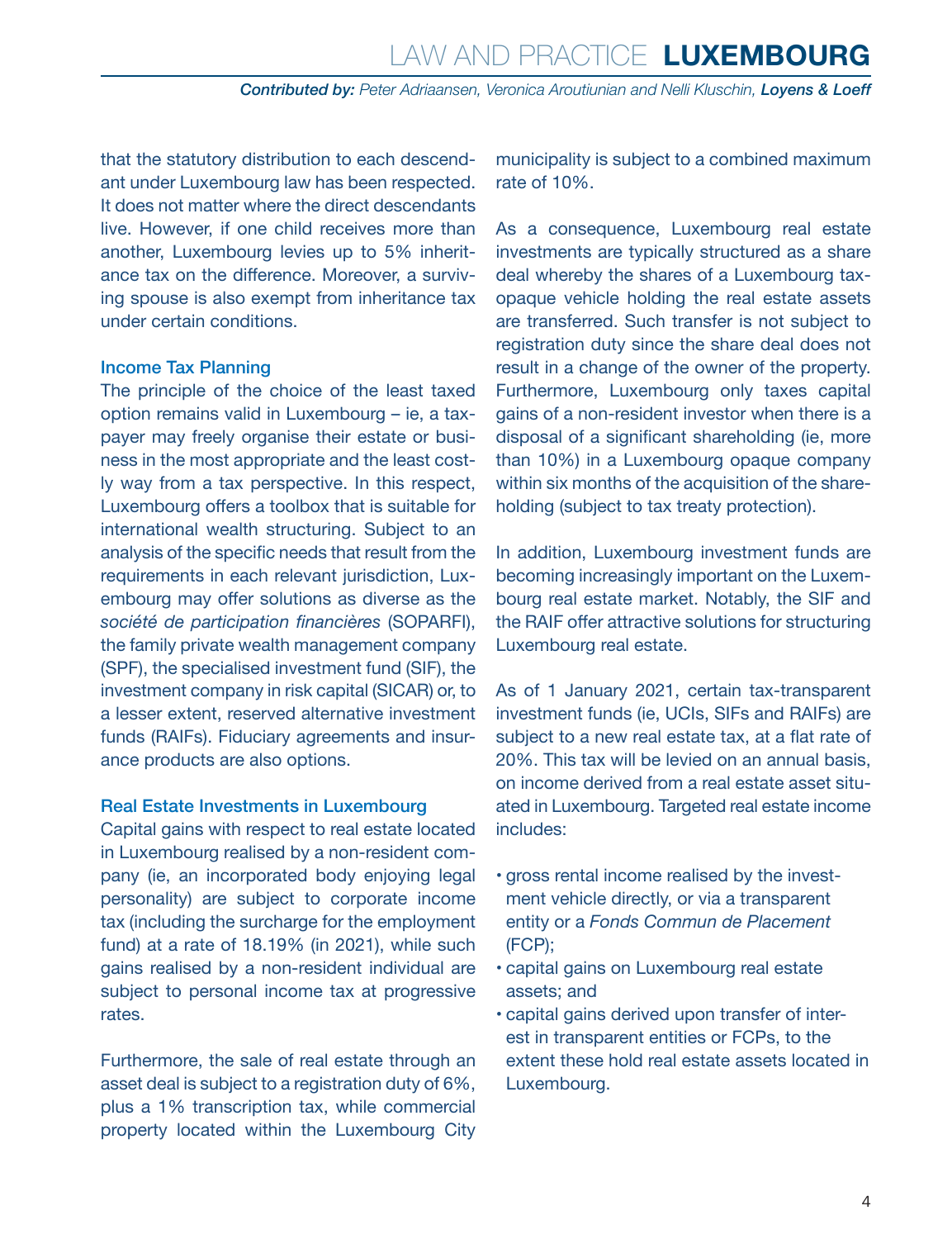that the statutory distribution to each descendant under Luxembourg law has been respected. It does not matter where the direct descendants live. However, if one child receives more than another, Luxembourg levies up to 5% inheritance tax on the difference. Moreover, a surviving spouse is also exempt from inheritance tax under certain conditions.

#### Income Tax Planning

The principle of the choice of the least taxed option remains valid in Luxembourg – ie, a taxpayer may freely organise their estate or business in the most appropriate and the least costly way from a tax perspective. In this respect, Luxembourg offers a toolbox that is suitable for international wealth structuring. Subject to an analysis of the specific needs that result from the requirements in each relevant jurisdiction, Luxembourg may offer solutions as diverse as the *société de participation financières* (SOPARFI), the family private wealth management company (SPF), the specialised investment fund (SIF), the investment company in risk capital (SICAR) or, to a lesser extent, reserved alternative investment funds (RAIFs). Fiduciary agreements and insurance products are also options.

### Real Estate Investments in Luxembourg

Capital gains with respect to real estate located in Luxembourg realised by a non-resident company (ie, an incorporated body enjoying legal personality) are subject to corporate income tax (including the surcharge for the employment fund) at a rate of 18.19% (in 2021), while such gains realised by a non-resident individual are subject to personal income tax at progressive rates.

Furthermore, the sale of real estate through an asset deal is subject to a registration duty of 6%, plus a 1% transcription tax, while commercial property located within the Luxembourg City municipality is subject to a combined maximum rate of 10%.

As a consequence, Luxembourg real estate investments are typically structured as a share deal whereby the shares of a Luxembourg taxopaque vehicle holding the real estate assets are transferred. Such transfer is not subject to registration duty since the share deal does not result in a change of the owner of the property. Furthermore, Luxembourg only taxes capital gains of a non-resident investor when there is a disposal of a significant shareholding (ie, more than 10%) in a Luxembourg opaque company within six months of the acquisition of the shareholding (subject to tax treaty protection).

In addition, Luxembourg investment funds are becoming increasingly important on the Luxembourg real estate market. Notably, the SIF and the RAIF offer attractive solutions for structuring Luxembourg real estate.

As of 1 January 2021, certain tax-transparent investment funds (ie, UCIs, SIFs and RAIFs) are subject to a new real estate tax, at a flat rate of 20%. This tax will be levied on an annual basis, on income derived from a real estate asset situated in Luxembourg. Targeted real estate income includes:

- gross rental income realised by the investment vehicle directly, or via a transparent entity or a *Fonds Commun de Placement* (FCP);
- capital gains on Luxembourg real estate assets; and
- capital gains derived upon transfer of interest in transparent entities or FCPs, to the extent these hold real estate assets located in Luxembourg.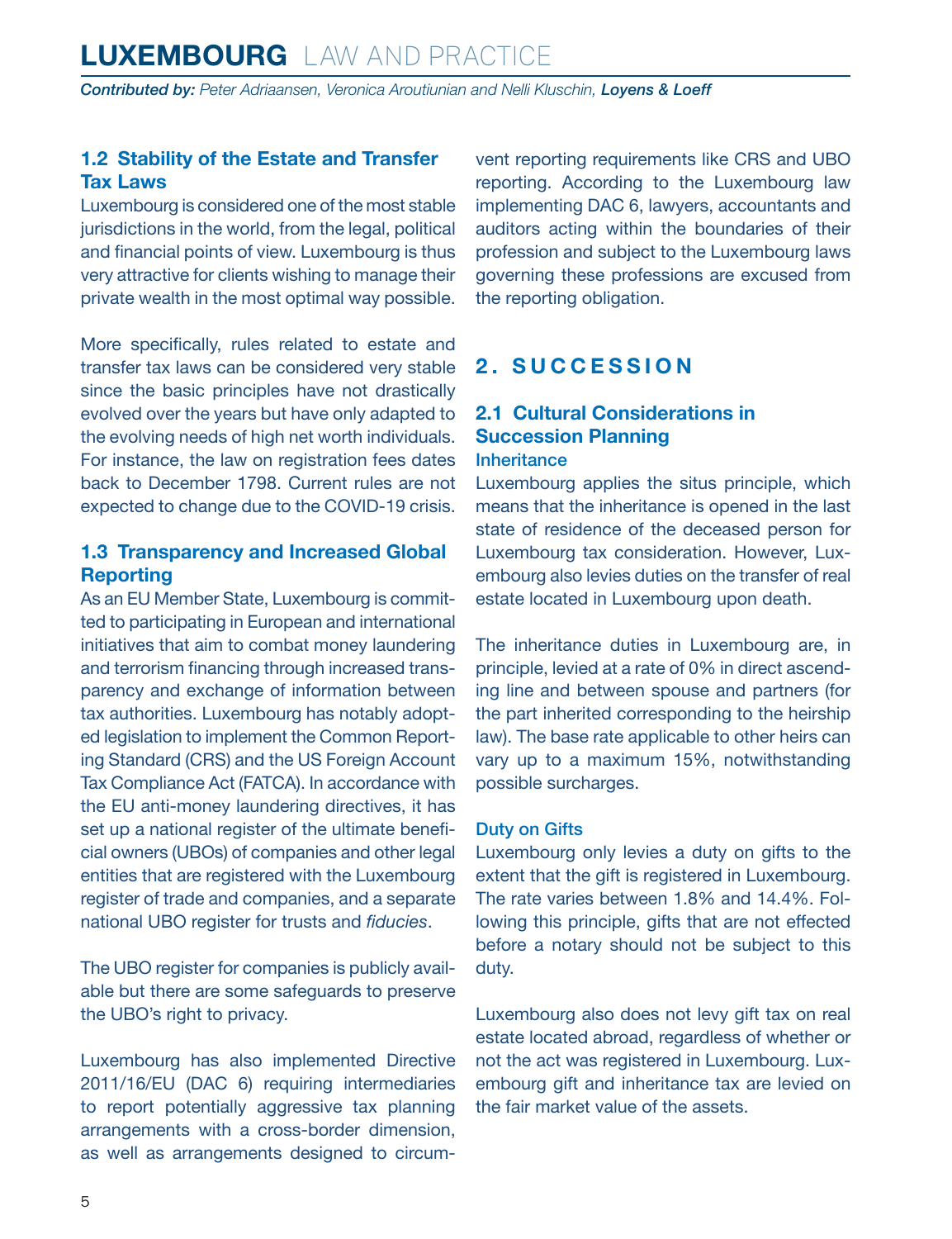### <span id="page-4-0"></span>**1.2 Stability of the Estate and Transfer Tax Laws**

Luxembourg is considered one of the most stable jurisdictions in the world, from the legal, political and financial points of view. Luxembourg is thus very attractive for clients wishing to manage their private wealth in the most optimal way possible.

More specifically, rules related to estate and transfer tax laws can be considered very stable since the basic principles have not drastically evolved over the years but have only adapted to the evolving needs of high net worth individuals. For instance, the law on registration fees dates back to December 1798. Current rules are not expected to change due to the COVID-19 crisis.

### **1.3 Transparency and Increased Global Reporting**

As an EU Member State, Luxembourg is committed to participating in European and international initiatives that aim to combat money laundering and terrorism financing through increased transparency and exchange of information between tax authorities. Luxembourg has notably adopted legislation to implement the Common Reporting Standard (CRS) and the US Foreign Account Tax Compliance Act (FATCA). In accordance with the EU anti-money laundering directives, it has set up a national register of the ultimate beneficial owners (UBOs) of companies and other legal entities that are registered with the Luxembourg register of trade and companies, and a separate national UBO register for trusts and *fiducies*.

The UBO register for companies is publicly available but there are some safeguards to preserve the UBO's right to privacy.

Luxembourg has also implemented Directive 2011/16/EU (DAC 6) requiring intermediaries to report potentially aggressive tax planning arrangements with a cross-border dimension, as well as arrangements designed to circumvent reporting requirements like CRS and UBO reporting. According to the Luxembourg law implementing DAC 6, lawyers, accountants and auditors acting within the boundaries of their profession and subject to the Luxembourg laws governing these professions are excused from the reporting obligation.

### **2. SUCCESSION**

### **2.1 Cultural Considerations in Succession Planning Inheritance**

Luxembourg applies the situs principle, which means that the inheritance is opened in the last state of residence of the deceased person for Luxembourg tax consideration. However, Luxembourg also levies duties on the transfer of real estate located in Luxembourg upon death.

The inheritance duties in Luxembourg are, in principle, levied at a rate of 0% in direct ascending line and between spouse and partners (for the part inherited corresponding to the heirship law). The base rate applicable to other heirs can vary up to a maximum 15%, notwithstanding possible surcharges.

### Duty on Gifts

Luxembourg only levies a duty on gifts to the extent that the gift is registered in Luxembourg. The rate varies between 1.8% and 14.4%. Following this principle, gifts that are not effected before a notary should not be subject to this duty.

Luxembourg also does not levy gift tax on real estate located abroad, regardless of whether or not the act was registered in Luxembourg. Luxembourg gift and inheritance tax are levied on the fair market value of the assets.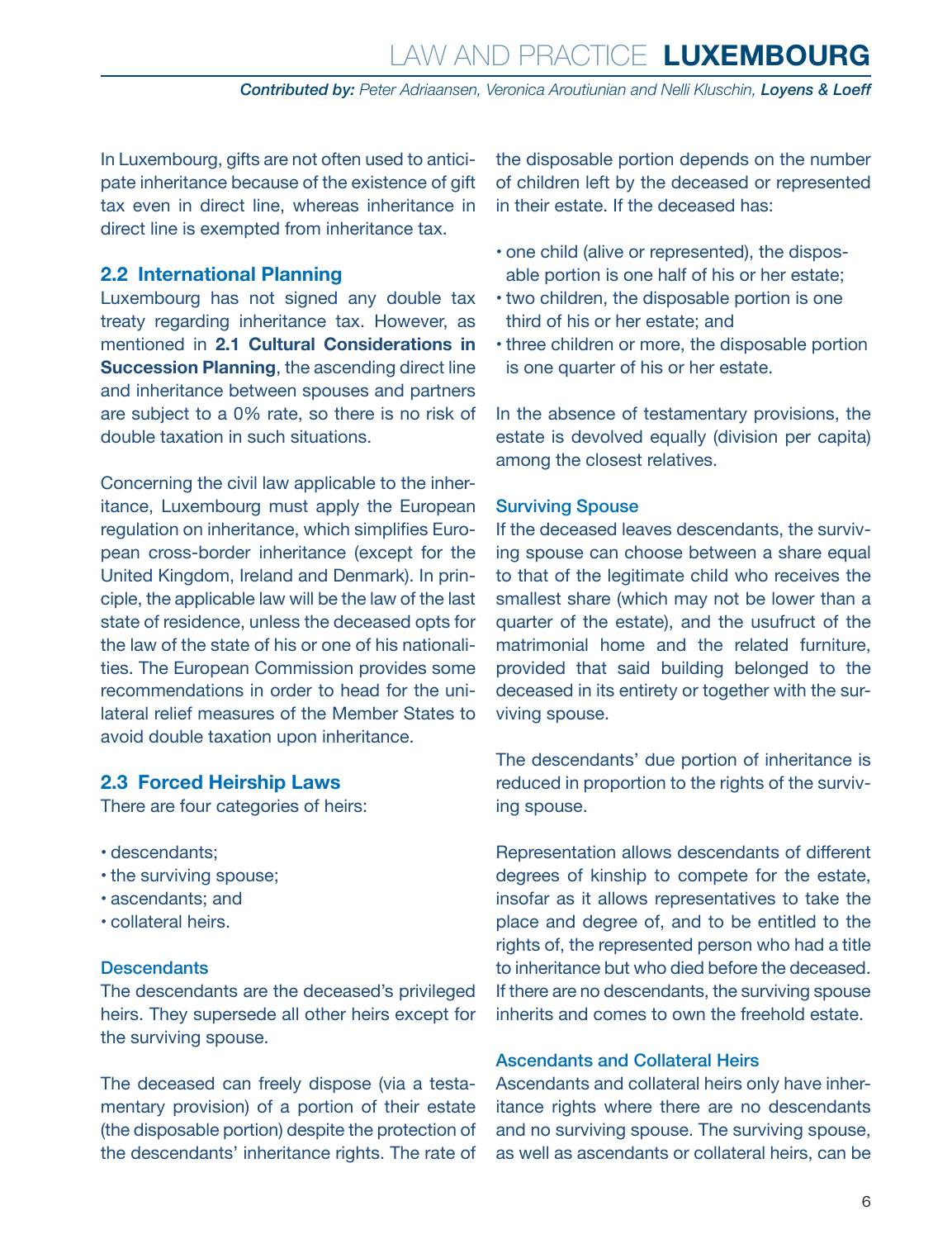<span id="page-5-0"></span>In Luxembourg, gifts are not often used to anticipate inheritance because of the existence of gift tax even in direct line, whereas inheritance in direct line is exempted from inheritance tax.

### **2.2 International Planning**

Luxembourg has not signed any double tax treaty regarding inheritance tax. However, as mentioned in **2.1 Cultural Considerations in Succession Planning**, the ascending direct line and inheritance between spouses and partners are subject to a 0% rate, so there is no risk of double taxation in such situations.

Concerning the civil law applicable to the inheritance, Luxembourg must apply the European regulation on inheritance, which simplifies European cross-border inheritance (except for the United Kingdom, Ireland and Denmark). In principle, the applicable law will be the law of the last state of residence, unless the deceased opts for the law of the state of his or one of his nationalities. The European Commission provides some recommendations in order to head for the unilateral relief measures of the Member States to avoid double taxation upon inheritance.

### **2.3 Forced Heirship Laws**

There are four categories of heirs:

- descendants;
- the surviving spouse;
- ascendants; and
- collateral heirs.

### **Descendants**

The descendants are the deceased's privileged heirs. They supersede all other heirs except for the surviving spouse.

The deceased can freely dispose (via a testamentary provision) of a portion of their estate (the disposable portion) despite the protection of the descendants' inheritance rights. The rate of the disposable portion depends on the number of children left by the deceased or represented in their estate. If the deceased has:

- one child (alive or represented), the disposable portion is one half of his or her estate;
- two children, the disposable portion is one third of his or her estate; and
- three children or more, the disposable portion is one quarter of his or her estate.

In the absence of testamentary provisions, the estate is devolved equally (division per capita) among the closest relatives.

#### Surviving Spouse

If the deceased leaves descendants, the surviving spouse can choose between a share equal to that of the legitimate child who receives the smallest share (which may not be lower than a quarter of the estate), and the usufruct of the matrimonial home and the related furniture, provided that said building belonged to the deceased in its entirety or together with the surviving spouse.

The descendants' due portion of inheritance is reduced in proportion to the rights of the surviving spouse.

Representation allows descendants of different degrees of kinship to compete for the estate, insofar as it allows representatives to take the place and degree of, and to be entitled to the rights of, the represented person who had a title to inheritance but who died before the deceased. If there are no descendants, the surviving spouse inherits and comes to own the freehold estate.

### Ascendants and Collateral Heirs

Ascendants and collateral heirs only have inheritance rights where there are no descendants and no surviving spouse. The surviving spouse, as well as ascendants or collateral heirs, can be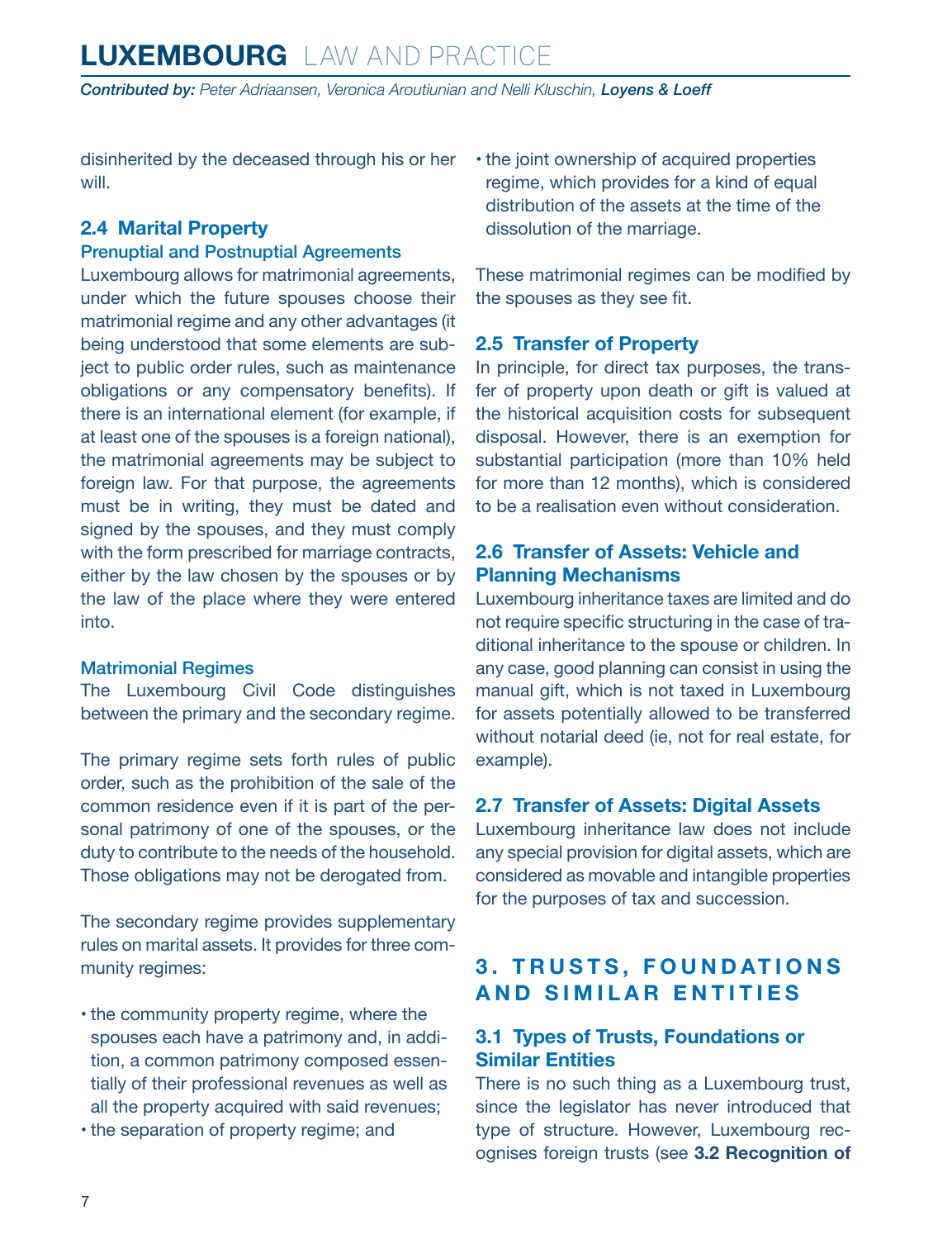<span id="page-6-0"></span>disinherited by the deceased through his or her will.

### **2.4 Marital Property**

### Prenuptial and Postnuptial Agreements

Luxembourg allows for matrimonial agreements, under which the future spouses choose their matrimonial regime and any other advantages (it being understood that some elements are subject to public order rules, such as maintenance obligations or any compensatory benefits). If there is an international element (for example, if at least one of the spouses is a foreign national), the matrimonial agreements may be subject to foreign law. For that purpose, the agreements must be in writing, they must be dated and signed by the spouses, and they must comply with the form prescribed for marriage contracts, either by the law chosen by the spouses or by the law of the place where they were entered into.

### Matrimonial Regimes

The Luxembourg Civil Code distinguishes between the primary and the secondary regime.

The primary regime sets forth rules of public order, such as the prohibition of the sale of the common residence even if it is part of the personal patrimony of one of the spouses, or the duty to contribute to the needs of the household. Those obligations may not be derogated from.

The secondary regime provides supplementary rules on marital assets. It provides for three community regimes:

- the community property regime, where the spouses each have a patrimony and, in addition, a common patrimony composed essentially of their professional revenues as well as all the property acquired with said revenues;
- the separation of property regime; and

• the joint ownership of acquired properties regime, which provides for a kind of equal distribution of the assets at the time of the dissolution of the marriage.

These matrimonial regimes can be modified by the spouses as they see fit.

### **2.5 Transfer of Property**

In principle, for direct tax purposes, the transfer of property upon death or gift is valued at the historical acquisition costs for subsequent disposal. However, there is an exemption for substantial participation (more than 10% held for more than 12 months), which is considered to be a realisation even without consideration.

### **2.6 Transfer of Assets: Vehicle and Planning Mechanisms**

Luxembourg inheritance taxes are limited and do not require specific structuring in the case of traditional inheritance to the spouse or children. In any case, good planning can consist in using the manual gift, which is not taxed in Luxembourg for assets potentially allowed to be transferred without notarial deed (ie, not for real estate, for example).

### **2.7 Transfer of Assets: Digital Assets**

Luxembourg inheritance law does not include any special provision for digital assets, which are considered as movable and intangible properties for the purposes of tax and succession.

### **3. TRUSTS, FOUNDATIONS AND SIMILAR ENTITIES**

### **3.1 Types of Trusts, Foundations or Similar Entities**

There is no such thing as a Luxembourg trust, since the legislator has never introduced that type of structure. However, Luxembourg recognises foreign trusts (see **3.2 Recognition of**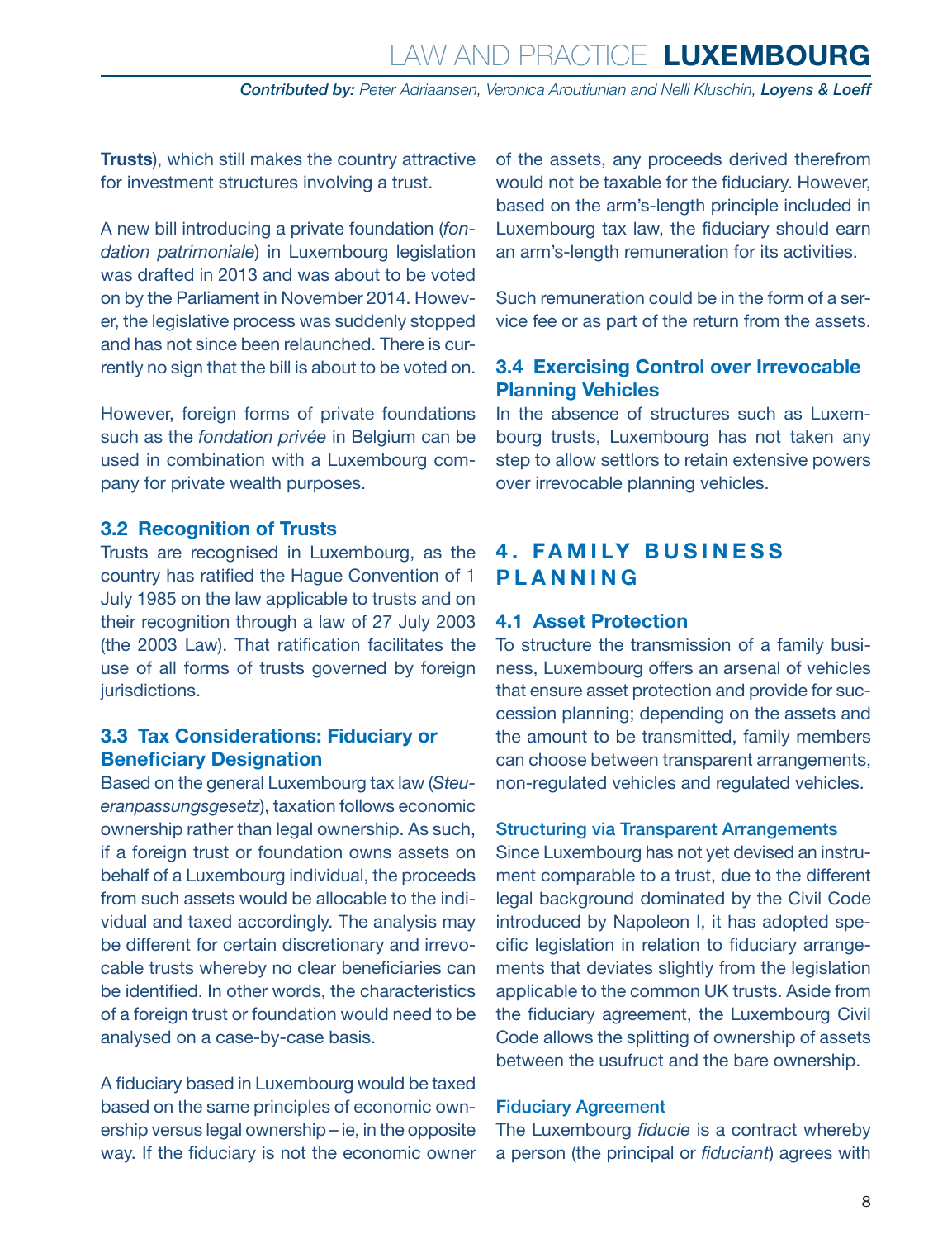<span id="page-7-0"></span>**Trusts**), which still makes the country attractive for investment structures involving a trust.

A new bill introducing a private foundation (*fondation patrimoniale*) in Luxembourg legislation was drafted in 2013 and was about to be voted on by the Parliament in November 2014. However, the legislative process was suddenly stopped and has not since been relaunched. There is currently no sign that the bill is about to be voted on.

However, foreign forms of private foundations such as the *fondation privée* in Belgium can be used in combination with a Luxembourg company for private wealth purposes.

### **3.2 Recognition of Trusts**

Trusts are recognised in Luxembourg, as the country has ratified the Hague Convention of 1 July 1985 on the law applicable to trusts and on their recognition through a law of 27 July 2003 (the 2003 Law). That ratification facilitates the use of all forms of trusts governed by foreign jurisdictions.

### **3.3 Tax Considerations: Fiduciary or Beneficiary Designation**

Based on the general Luxembourg tax law (*Steueranpassungsgesetz*), taxation follows economic ownership rather than legal ownership. As such, if a foreign trust or foundation owns assets on behalf of a Luxembourg individual, the proceeds from such assets would be allocable to the individual and taxed accordingly. The analysis may be different for certain discretionary and irrevocable trusts whereby no clear beneficiaries can be identified. In other words, the characteristics of a foreign trust or foundation would need to be analysed on a case-by-case basis.

A fiduciary based in Luxembourg would be taxed based on the same principles of economic ownership versus legal ownership – ie, in the opposite way. If the fiduciary is not the economic owner of the assets, any proceeds derived therefrom would not be taxable for the fiduciary. However, based on the arm's-length principle included in Luxembourg tax law, the fiduciary should earn an arm's-length remuneration for its activities.

Such remuneration could be in the form of a service fee or as part of the return from the assets.

### **3.4 Exercising Control over Irrevocable Planning Vehicles**

In the absence of structures such as Luxembourg trusts, Luxembourg has not taken any step to allow settlors to retain extensive powers over irrevocable planning vehicles.

### **4. FAMILY BUSINESS PLANNING**

### **4.1 Asset Protection**

To structure the transmission of a family business, Luxembourg offers an arsenal of vehicles that ensure asset protection and provide for succession planning; depending on the assets and the amount to be transmitted, family members can choose between transparent arrangements, non-regulated vehicles and regulated vehicles.

### Structuring via Transparent Arrangements

Since Luxembourg has not yet devised an instrument comparable to a trust, due to the different legal background dominated by the Civil Code introduced by Napoleon I, it has adopted specific legislation in relation to fiduciary arrangements that deviates slightly from the legislation applicable to the common UK trusts. Aside from the fiduciary agreement, the Luxembourg Civil Code allows the splitting of ownership of assets between the usufruct and the bare ownership.

### Fiduciary Agreement

The Luxembourg *fiducie* is a contract whereby a person (the principal or *fiduciant*) agrees with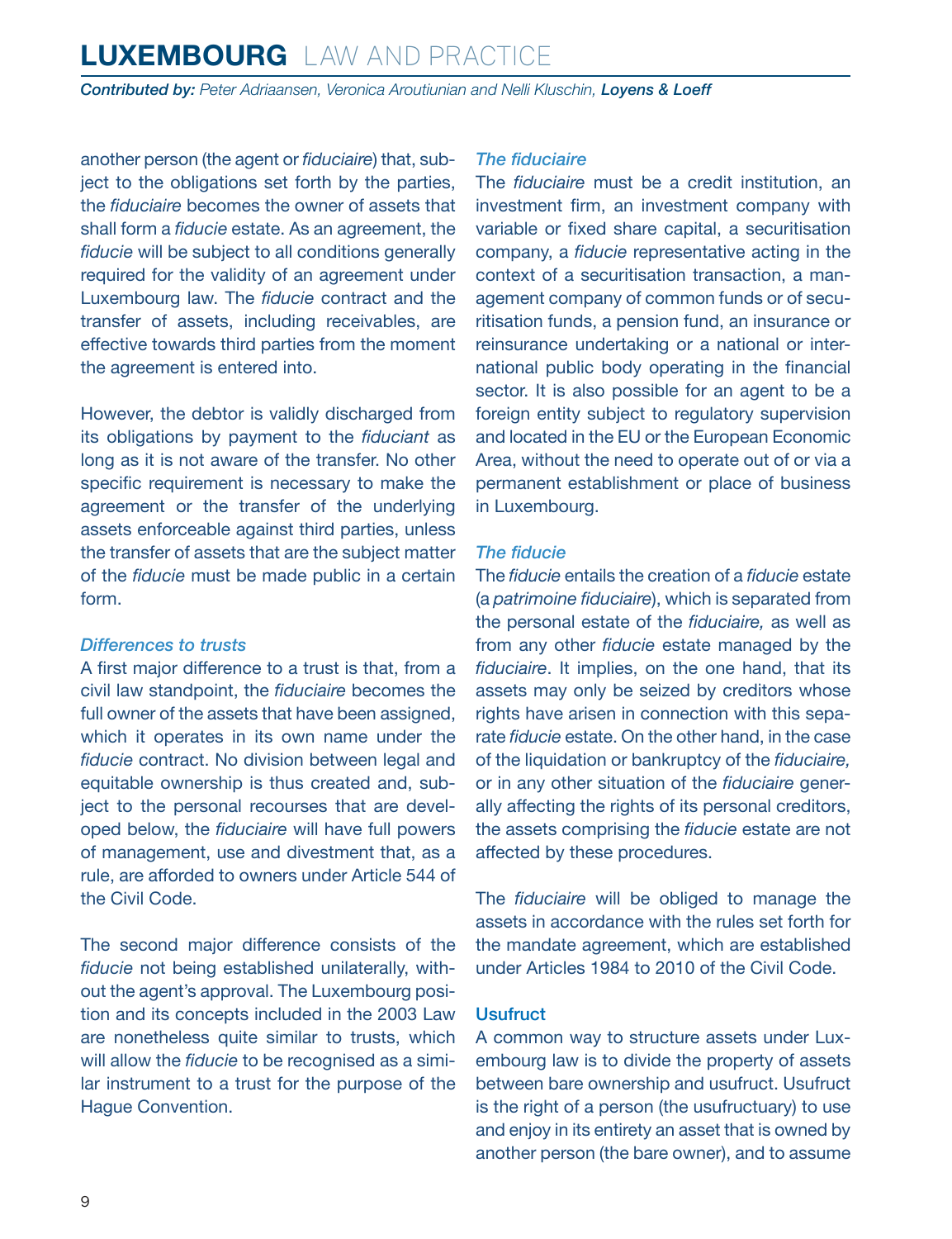**Contributed by: Peter Adriaansen, Veronica Aroutiunian and Nelli Kluschin, Lovens & Loeff** 

another person (the agent or *fiduciaire*) that, subject to the obligations set forth by the parties, the *fiduciaire* becomes the owner of assets that shall form a *fiducie* estate. As an agreement, the *fiducie* will be subject to all conditions generally required for the validity of an agreement under Luxembourg law. The *fiducie* contract and the transfer of assets, including receivables, are effective towards third parties from the moment the agreement is entered into.

However, the debtor is validly discharged from its obligations by payment to the *fiduciant* as long as it is not aware of the transfer. No other specific requirement is necessary to make the agreement or the transfer of the underlying assets enforceable against third parties, unless the transfer of assets that are the subject matter of the *fiducie* must be made public in a certain form.

#### *Differences to trusts*

A first major difference to a trust is that, from a civil law standpoint, the *fiduciaire* becomes the full owner of the assets that have been assigned, which it operates in its own name under the *fiducie* contract. No division between legal and equitable ownership is thus created and, subject to the personal recourses that are developed below, the *fiduciaire* will have full powers of management, use and divestment that, as a rule, are afforded to owners under Article 544 of the Civil Code.

The second major difference consists of the *fiducie* not being established unilaterally, without the agent's approval. The Luxembourg position and its concepts included in the 2003 Law are nonetheless quite similar to trusts, which will allow the *fiducie* to be recognised as a similar instrument to a trust for the purpose of the Hague Convention.

### *The fiduciaire*

The *fiduciaire* must be a credit institution, an investment firm, an investment company with variable or fixed share capital, a securitisation company, a *fiducie* representative acting in the context of a securitisation transaction, a management company of common funds or of securitisation funds, a pension fund, an insurance or reinsurance undertaking or a national or international public body operating in the financial sector. It is also possible for an agent to be a foreign entity subject to regulatory supervision and located in the EU or the European Economic Area, without the need to operate out of or via a permanent establishment or place of business in Luxembourg.

#### *The fiducie*

The *fiducie* entails the creation of a *fiducie* estate (a *patrimoine fiduciaire*), which is separated from the personal estate of the *fiduciaire,* as well as from any other *fiducie* estate managed by the *fiduciaire*. It implies, on the one hand, that its assets may only be seized by creditors whose rights have arisen in connection with this separate *fiducie* estate. On the other hand, in the case of the liquidation or bankruptcy of the *fiduciaire,* or in any other situation of the *fiduciaire* generally affecting the rights of its personal creditors, the assets comprising the *fiducie* estate are not affected by these procedures.

The *fiduciaire* will be obliged to manage the assets in accordance with the rules set forth for the mandate agreement, which are established under Articles 1984 to 2010 of the Civil Code.

### **Usufruct**

A common way to structure assets under Luxembourg law is to divide the property of assets between bare ownership and usufruct. Usufruct is the right of a person (the usufructuary) to use and enjoy in its entirety an asset that is owned by another person (the bare owner), and to assume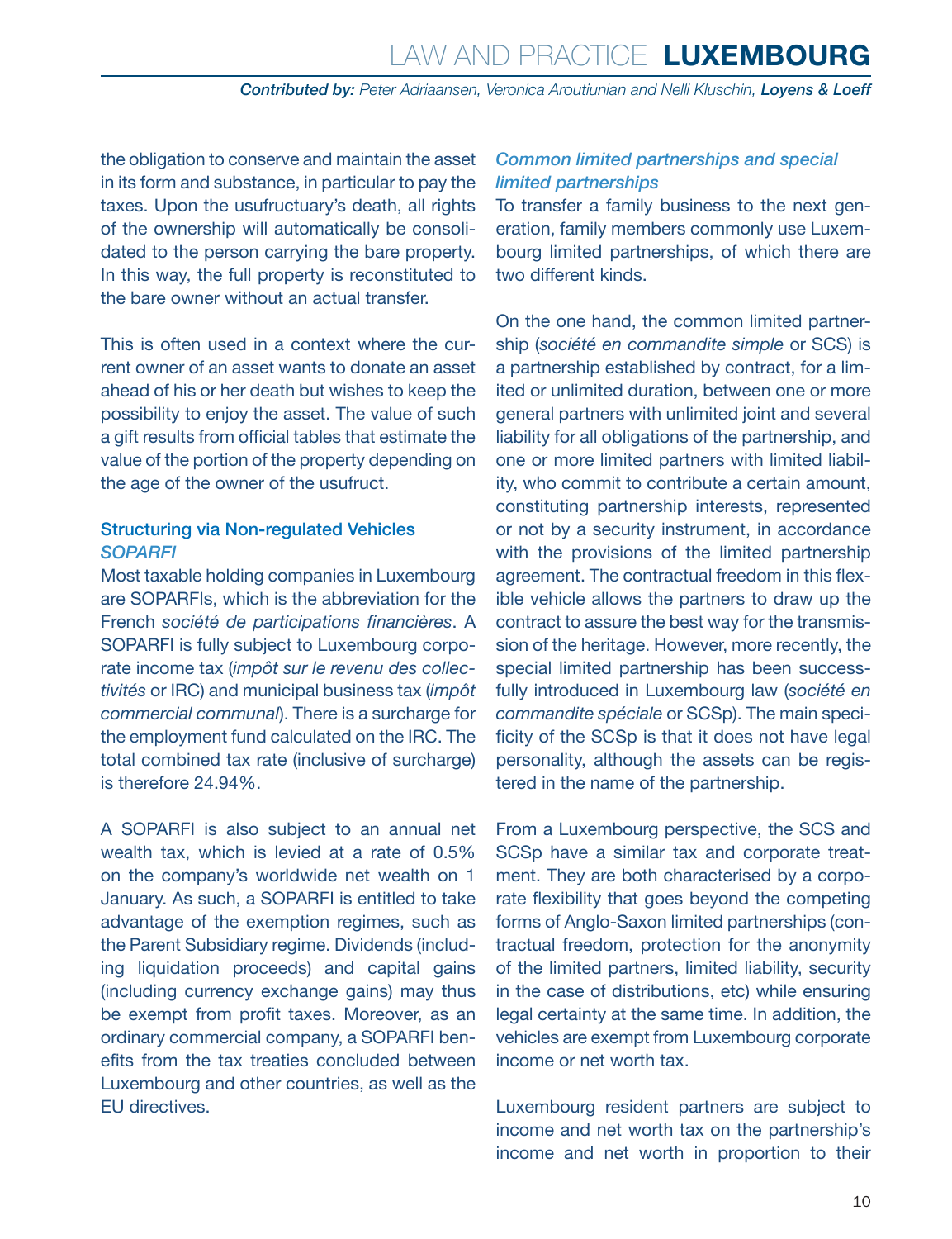the obligation to conserve and maintain the asset in its form and substance, in particular to pay the taxes. Upon the usufructuary's death, all rights of the ownership will automatically be consolidated to the person carrying the bare property. In this way, the full property is reconstituted to the bare owner without an actual transfer.

This is often used in a context where the current owner of an asset wants to donate an asset ahead of his or her death but wishes to keep the possibility to enjoy the asset. The value of such a gift results from official tables that estimate the value of the portion of the property depending on the age of the owner of the usufruct.

### Structuring via Non-regulated Vehicles *SOPARFI*

Most taxable holding companies in Luxembourg are SOPARFIs, which is the abbreviation for the French *société de participations financières*. A SOPARFI is fully subject to Luxembourg corporate income tax (*impôt sur le revenu des collectivités* or IRC) and municipal business tax (*impôt commercial communal*). There is a surcharge for the employment fund calculated on the IRC. The total combined tax rate (inclusive of surcharge) is therefore 24.94%.

A SOPARFI is also subject to an annual net wealth tax, which is levied at a rate of 0.5% on the company's worldwide net wealth on 1 January. As such, a SOPARFI is entitled to take advantage of the exemption regimes, such as the Parent Subsidiary regime. Dividends (including liquidation proceeds) and capital gains (including currency exchange gains) may thus be exempt from profit taxes. Moreover, as an ordinary commercial company, a SOPARFI benefits from the tax treaties concluded between Luxembourg and other countries, as well as the EU directives.

### *Common limited partnerships and special limited partnerships*

To transfer a family business to the next generation, family members commonly use Luxembourg limited partnerships, of which there are two different kinds.

On the one hand, the common limited partnership (*société en commandite simple* or SCS) is a partnership established by contract, for a limited or unlimited duration, between one or more general partners with unlimited joint and several liability for all obligations of the partnership, and one or more limited partners with limited liability, who commit to contribute a certain amount, constituting partnership interests, represented or not by a security instrument, in accordance with the provisions of the limited partnership agreement. The contractual freedom in this flexible vehicle allows the partners to draw up the contract to assure the best way for the transmission of the heritage. However, more recently, the special limited partnership has been successfully introduced in Luxembourg law (*société en commandite spéciale* or SCSp). The main specificity of the SCSp is that it does not have legal personality, although the assets can be registered in the name of the partnership.

From a Luxembourg perspective, the SCS and SCSp have a similar tax and corporate treatment. They are both characterised by a corporate flexibility that goes beyond the competing forms of Anglo-Saxon limited partnerships (contractual freedom, protection for the anonymity of the limited partners, limited liability, security in the case of distributions, etc) while ensuring legal certainty at the same time. In addition, the vehicles are exempt from Luxembourg corporate income or net worth tax.

Luxembourg resident partners are subject to income and net worth tax on the partnership's income and net worth in proportion to their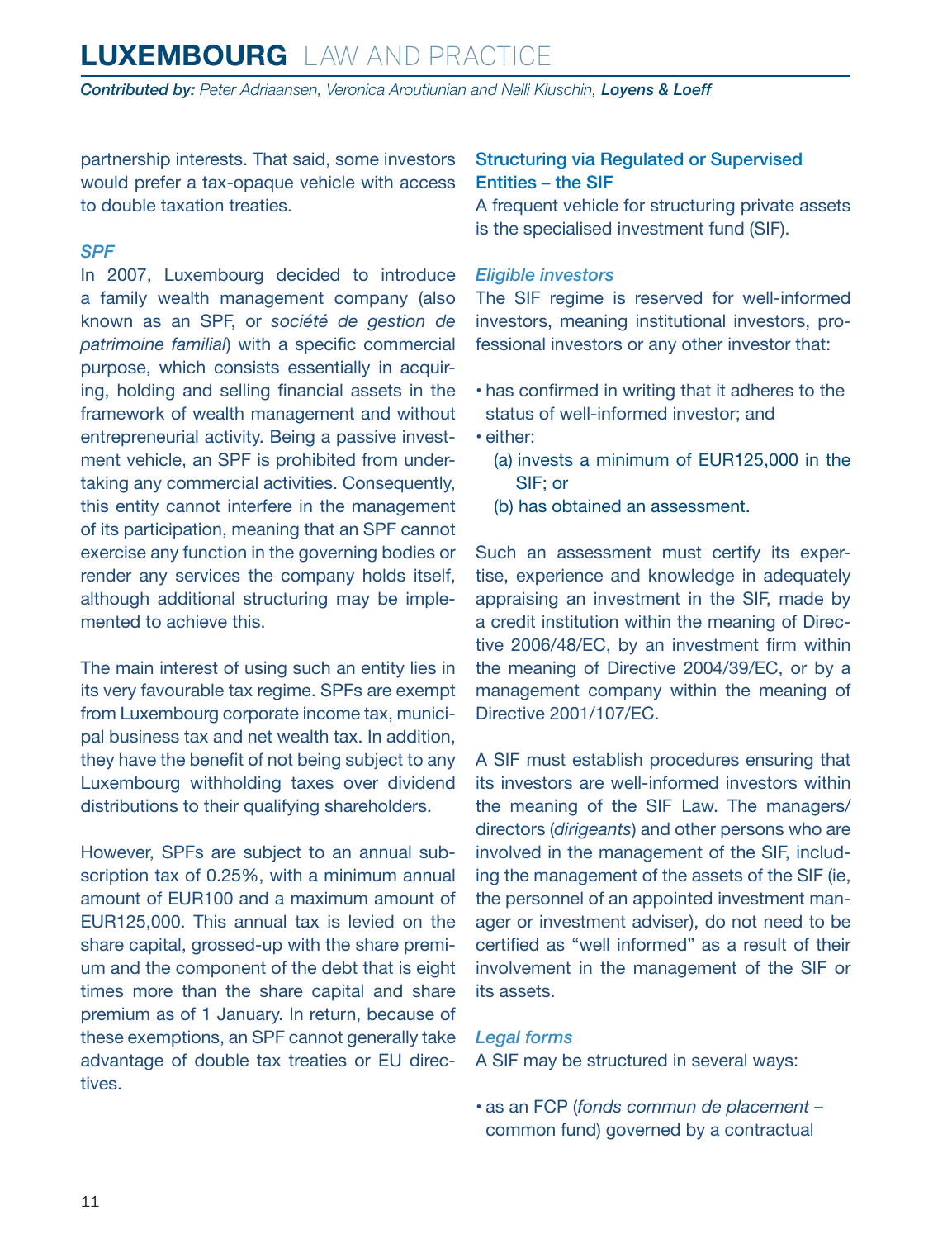*Contributed by: Peter Adriaansen, Veronica Aroutiunian and Nelli Kluschin, Loyens & Loeff*

partnership interests. That said, some investors would prefer a tax-opaque vehicle with access to double taxation treaties.

### *SPF*

In 2007, Luxembourg decided to introduce a family wealth management company (also known as an SPF, or *société de gestion de patrimoine familial*) with a specific commercial purpose, which consists essentially in acquiring, holding and selling financial assets in the framework of wealth management and without entrepreneurial activity. Being a passive investment vehicle, an SPF is prohibited from undertaking any commercial activities. Consequently, this entity cannot interfere in the management of its participation, meaning that an SPF cannot exercise any function in the governing bodies or render any services the company holds itself, although additional structuring may be implemented to achieve this.

The main interest of using such an entity lies in its very favourable tax regime. SPFs are exempt from Luxembourg corporate income tax, municipal business tax and net wealth tax. In addition, they have the benefit of not being subject to any Luxembourg withholding taxes over dividend distributions to their qualifying shareholders.

However, SPFs are subject to an annual subscription tax of 0.25%, with a minimum annual amount of EUR100 and a maximum amount of EUR125,000. This annual tax is levied on the share capital, grossed-up with the share premium and the component of the debt that is eight times more than the share capital and share premium as of 1 January. In return, because of these exemptions, an SPF cannot generally take advantage of double tax treaties or EU directives.

### Structuring via Regulated or Supervised Entities – the SIF

A frequent vehicle for structuring private assets is the specialised investment fund (SIF).

#### *Eligible investors*

The SIF regime is reserved for well-informed investors, meaning institutional investors, professional investors or any other investor that:

- has confirmed in writing that it adheres to the status of well-informed investor; and
- either:
	- (a) invests a minimum of EUR125,000 in the SIF; or
	- (b) has obtained an assessment.

Such an assessment must certify its expertise, experience and knowledge in adequately appraising an investment in the SIF, made by a credit institution within the meaning of Directive 2006/48/EC, by an investment firm within the meaning of Directive 2004/39/EC, or by a management company within the meaning of Directive 2001/107/EC.

A SIF must establish procedures ensuring that its investors are well-informed investors within the meaning of the SIF Law. The managers/ directors (*dirigeants*) and other persons who are involved in the management of the SIF, including the management of the assets of the SIF (ie, the personnel of an appointed investment manager or investment adviser), do not need to be certified as "well informed" as a result of their involvement in the management of the SIF or its assets.

### *Legal forms*

A SIF may be structured in several ways:

• as an FCP (*fonds commun de placement* – common fund) governed by a contractual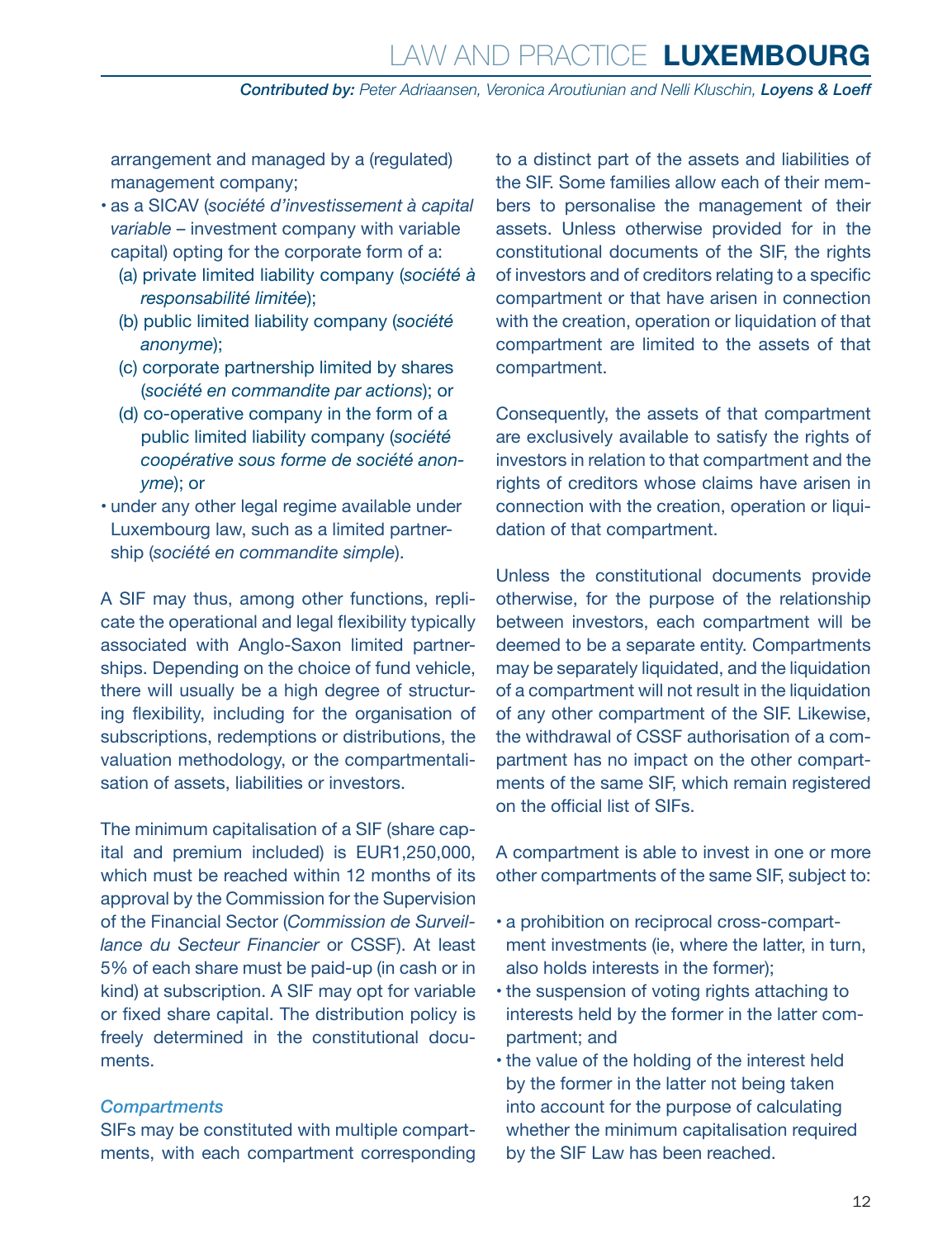arrangement and managed by a (regulated) management company;

- as a SICAV (*société d'investissement à capital variable* – investment company with variable capital) opting for the corporate form of a:
	- (a) private limited liability company (*société à responsabilité limitée*);
	- (b) public limited liability company (*société anonyme*);
	- (c) corporate partnership limited by shares (*société en commandite par actions*); or
	- (d) co-operative company in the form of a public limited liability company (*société coopérative sous forme de société anonyme*); or
- under any other legal regime available under Luxembourg law, such as a limited partnership (*société en commandite simple*).

A SIF may thus, among other functions, replicate the operational and legal flexibility typically associated with Anglo-Saxon limited partnerships. Depending on the choice of fund vehicle, there will usually be a high degree of structuring flexibility, including for the organisation of subscriptions, redemptions or distributions, the valuation methodology, or the compartmentalisation of assets, liabilities or investors.

The minimum capitalisation of a SIF (share capital and premium included) is EUR1,250,000, which must be reached within 12 months of its approval by the Commission for the Supervision of the Financial Sector (*Commission de Surveillance du Secteur Financier* or CSSF). At least 5% of each share must be paid-up (in cash or in kind) at subscription. A SIF may opt for variable or fixed share capital. The distribution policy is freely determined in the constitutional documents.

#### *Compartments*

SIFs may be constituted with multiple compartments, with each compartment corresponding to a distinct part of the assets and liabilities of the SIF. Some families allow each of their members to personalise the management of their assets. Unless otherwise provided for in the constitutional documents of the SIF, the rights of investors and of creditors relating to a specific compartment or that have arisen in connection with the creation, operation or liquidation of that compartment are limited to the assets of that compartment.

Consequently, the assets of that compartment are exclusively available to satisfy the rights of investors in relation to that compartment and the rights of creditors whose claims have arisen in connection with the creation, operation or liquidation of that compartment.

Unless the constitutional documents provide otherwise, for the purpose of the relationship between investors, each compartment will be deemed to be a separate entity. Compartments may be separately liquidated, and the liquidation of a compartment will not result in the liquidation of any other compartment of the SIF. Likewise, the withdrawal of CSSF authorisation of a compartment has no impact on the other compartments of the same SIF, which remain registered on the official list of SIFs.

A compartment is able to invest in one or more other compartments of the same SIF, subject to:

- a prohibition on reciprocal cross-compartment investments (ie, where the latter, in turn, also holds interests in the former);
- the suspension of voting rights attaching to interests held by the former in the latter compartment; and
- the value of the holding of the interest held by the former in the latter not being taken into account for the purpose of calculating whether the minimum capitalisation required by the SIF Law has been reached.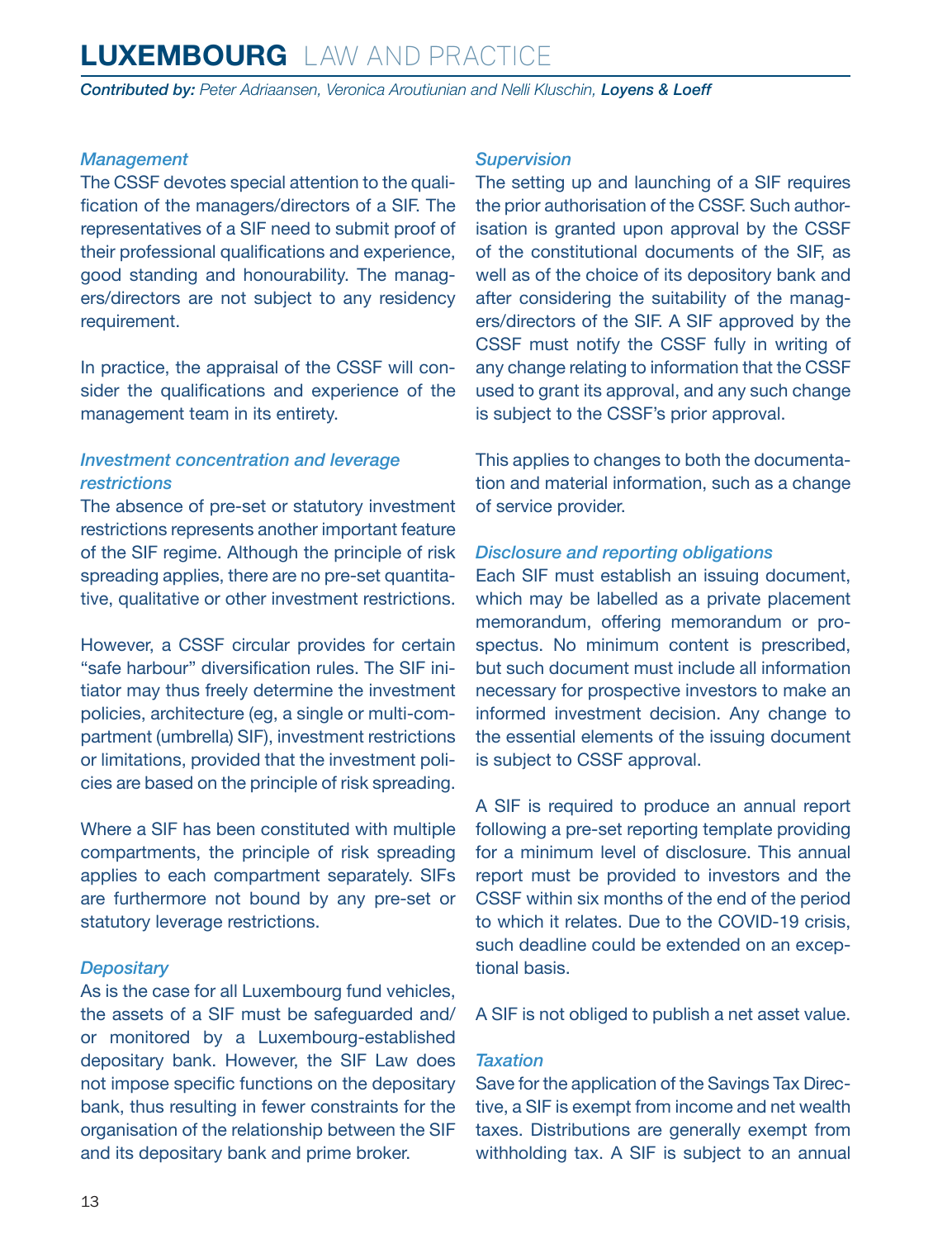*Contributed by: Peter Adriaansen, Veronica Aroutiunian and Nelli Kluschin, Loyens & Loeff*

### *Management*

The CSSF devotes special attention to the qualification of the managers/directors of a SIF. The representatives of a SIF need to submit proof of their professional qualifications and experience, good standing and honourability. The managers/directors are not subject to any residency requirement.

In practice, the appraisal of the CSSF will consider the qualifications and experience of the management team in its entirety.

### *Investment concentration and leverage restrictions*

The absence of pre-set or statutory investment restrictions represents another important feature of the SIF regime. Although the principle of risk spreading applies, there are no pre-set quantitative, qualitative or other investment restrictions.

However, a CSSF circular provides for certain "safe harbour" diversification rules. The SIF initiator may thus freely determine the investment policies, architecture (eg, a single or multi-compartment (umbrella) SIF), investment restrictions or limitations, provided that the investment policies are based on the principle of risk spreading.

Where a SIF has been constituted with multiple compartments, the principle of risk spreading applies to each compartment separately. SIFs are furthermore not bound by any pre-set or statutory leverage restrictions.

### *Depositary*

As is the case for all Luxembourg fund vehicles, the assets of a SIF must be safeguarded and/ or monitored by a Luxembourg-established depositary bank. However, the SIF Law does not impose specific functions on the depositary bank, thus resulting in fewer constraints for the organisation of the relationship between the SIF and its depositary bank and prime broker.

### *Supervision*

The setting up and launching of a SIF requires the prior authorisation of the CSSF. Such authorisation is granted upon approval by the CSSF of the constitutional documents of the SIF, as well as of the choice of its depository bank and after considering the suitability of the managers/directors of the SIF. A SIF approved by the CSSF must notify the CSSF fully in writing of any change relating to information that the CSSF used to grant its approval, and any such change is subject to the CSSF's prior approval.

This applies to changes to both the documentation and material information, such as a change of service provider.

### *Disclosure and reporting obligations*

Each SIF must establish an issuing document, which may be labelled as a private placement memorandum, offering memorandum or prospectus. No minimum content is prescribed, but such document must include all information necessary for prospective investors to make an informed investment decision. Any change to the essential elements of the issuing document is subject to CSSF approval.

A SIF is required to produce an annual report following a pre-set reporting template providing for a minimum level of disclosure. This annual report must be provided to investors and the CSSF within six months of the end of the period to which it relates. Due to the COVID-19 crisis, such deadline could be extended on an exceptional basis.

A SIF is not obliged to publish a net asset value.

### *Taxation*

Save for the application of the Savings Tax Directive, a SIF is exempt from income and net wealth taxes. Distributions are generally exempt from withholding tax. A SIF is subject to an annual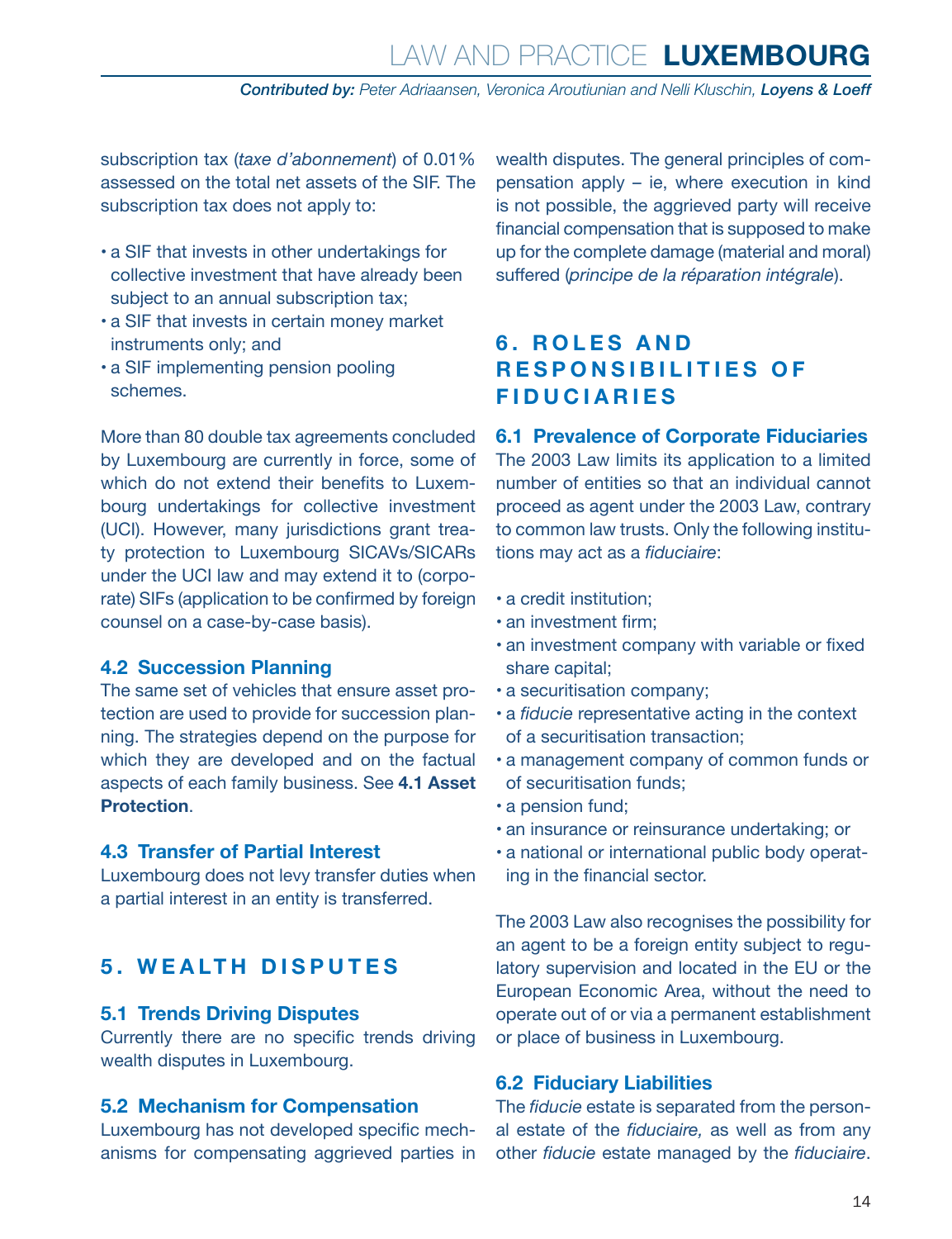<span id="page-13-0"></span>subscription tax (*taxe d'abonnement*) of 0.01% assessed on the total net assets of the SIF. The subscription tax does not apply to:

- a SIF that invests in other undertakings for collective investment that have already been subject to an annual subscription tax;
- a SIF that invests in certain money market instruments only; and
- a SIF implementing pension pooling schemes.

More than 80 double tax agreements concluded by Luxembourg are currently in force, some of which do not extend their benefits to Luxembourg undertakings for collective investment (UCI). However, many jurisdictions grant treaty protection to Luxembourg SICAVs/SICARs under the UCI law and may extend it to (corporate) SIFs (application to be confirmed by foreign counsel on a case-by-case basis).

### **4.2 Succession Planning**

The same set of vehicles that ensure asset protection are used to provide for succession planning. The strategies depend on the purpose for which they are developed and on the factual aspects of each family business. See **4.1 Asset Protection**.

### **4.3 Transfer of Partial Interest**

Luxembourg does not levy transfer duties when a partial interest in an entity is transferred.

### **5. WEALTH DISPUTES**

### **5.1 Trends Driving Disputes**

Currently there are no specific trends driving wealth disputes in Luxembourg.

### **5.2 Mechanism for Compensation**

Luxembourg has not developed specific mechanisms for compensating aggrieved parties in wealth disputes. The general principles of compensation apply – ie, where execution in kind is not possible, the aggrieved party will receive financial compensation that is supposed to make up for the complete damage (material and moral) suffered (*principe de la réparation intégrale*).

### **6 . R O L E S A N D RESPONSIBILITIES OF FIDUCIARIES**

### **6.1 Prevalence of Corporate Fiduciaries**

The 2003 Law limits its application to a limited number of entities so that an individual cannot proceed as agent under the 2003 Law, contrary to common law trusts. Only the following institutions may act as a *fiduciaire*:

- a credit institution;
- an investment firm;
- an investment company with variable or fixed share capital;
- a securitisation company;
- a *fiducie* representative acting in the context of a securitisation transaction;
- a management company of common funds or of securitisation funds;
- a pension fund;
- an insurance or reinsurance undertaking; or
- a national or international public body operating in the financial sector.

The 2003 Law also recognises the possibility for an agent to be a foreign entity subject to regulatory supervision and located in the EU or the European Economic Area, without the need to operate out of or via a permanent establishment or place of business in Luxembourg.

### **6.2 Fiduciary Liabilities**

The *fiducie* estate is separated from the personal estate of the *fiduciaire,* as well as from any other *fiducie* estate managed by the *fiduciaire*.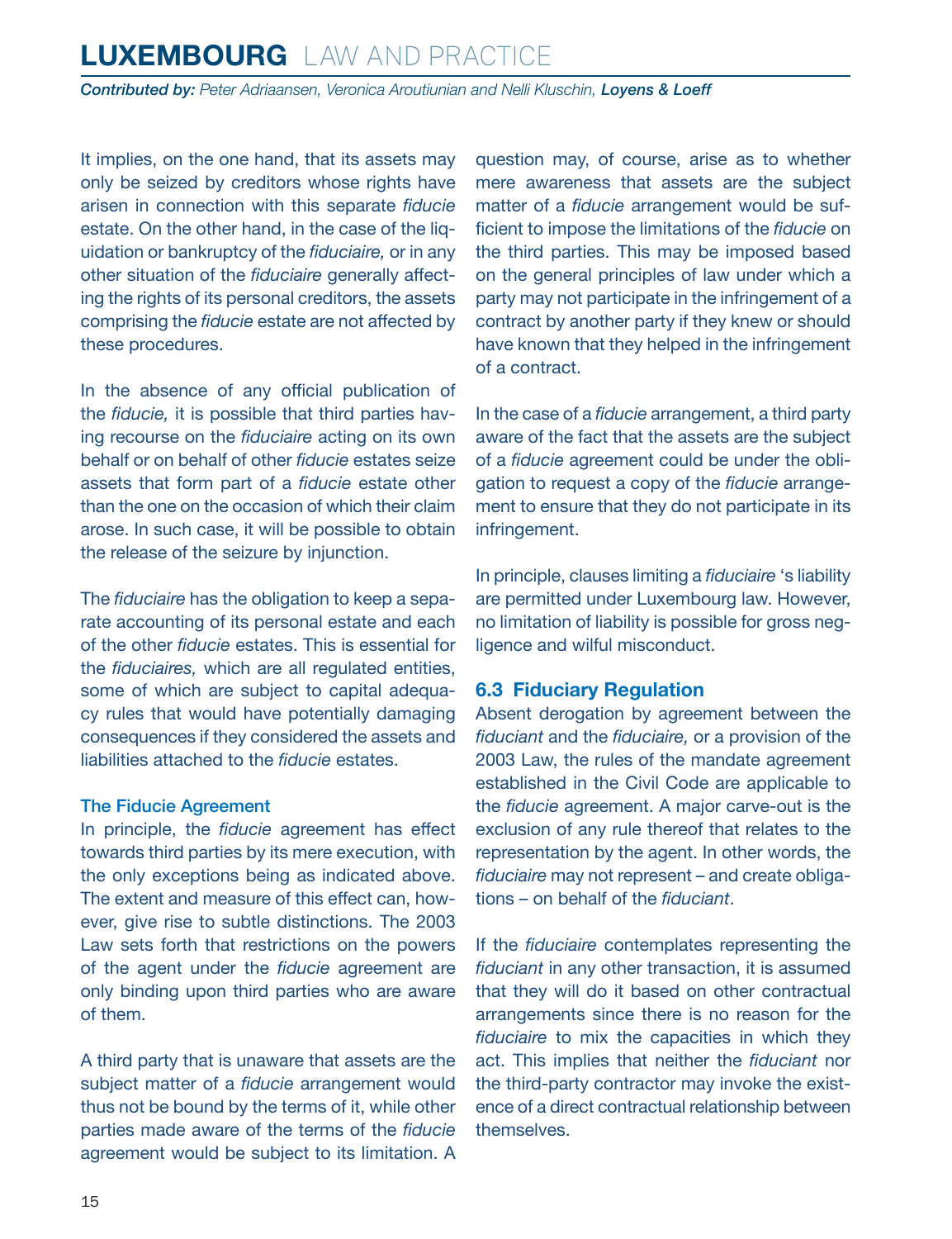<span id="page-14-0"></span>*Contributed by: Peter Adriaansen, Veronica Aroutiunian and Nelli Kluschin, Loyens & Loeff*

It implies, on the one hand, that its assets may only be seized by creditors whose rights have arisen in connection with this separate *fiducie* estate. On the other hand, in the case of the liquidation or bankruptcy of the *fiduciaire,* or in any other situation of the *fiduciaire* generally affecting the rights of its personal creditors, the assets comprising the *fiducie* estate are not affected by these procedures.

In the absence of any official publication of the *fiducie,* it is possible that third parties having recourse on the *fiduciaire* acting on its own behalf or on behalf of other *fiducie* estates seize assets that form part of a *fiducie* estate other than the one on the occasion of which their claim arose. In such case, it will be possible to obtain the release of the seizure by injunction.

The *fiduciaire* has the obligation to keep a separate accounting of its personal estate and each of the other *fiducie* estates. This is essential for the *fiduciaires,* which are all regulated entities, some of which are subject to capital adequacy rules that would have potentially damaging consequences if they considered the assets and liabilities attached to the *fiducie* estates.

#### The Fiducie Agreement

In principle, the *fiducie* agreement has effect towards third parties by its mere execution, with the only exceptions being as indicated above. The extent and measure of this effect can, however, give rise to subtle distinctions. The 2003 Law sets forth that restrictions on the powers of the agent under the *fiducie* agreement are only binding upon third parties who are aware of them.

A third party that is unaware that assets are the subject matter of a *fiducie* arrangement would thus not be bound by the terms of it, while other parties made aware of the terms of the *fiducie* agreement would be subject to its limitation. A question may, of course, arise as to whether mere awareness that assets are the subject matter of a *fiducie* arrangement would be sufficient to impose the limitations of the *fiducie* on the third parties. This may be imposed based on the general principles of law under which a party may not participate in the infringement of a contract by another party if they knew or should have known that they helped in the infringement of a contract.

In the case of a *fiducie* arrangement, a third party aware of the fact that the assets are the subject of a *fiducie* agreement could be under the obligation to request a copy of the *fiducie* arrangement to ensure that they do not participate in its infringement.

In principle, clauses limiting a *fiduciaire* 's liability are permitted under Luxembourg law. However, no limitation of liability is possible for gross negligence and wilful misconduct.

### **6.3 Fiduciary Regulation**

Absent derogation by agreement between the *fiduciant* and the *fiduciaire,* or a provision of the 2003 Law, the rules of the mandate agreement established in the Civil Code are applicable to the *fiducie* agreement. A major carve-out is the exclusion of any rule thereof that relates to the representation by the agent. In other words, the *fiduciaire* may not represent – and create obligations – on behalf of the *fiduciant*.

If the *fiduciaire* contemplates representing the *fiduciant* in any other transaction, it is assumed that they will do it based on other contractual arrangements since there is no reason for the *fiduciaire* to mix the capacities in which they act. This implies that neither the *fiduciant* nor the third-party contractor may invoke the existence of a direct contractual relationship between themselves.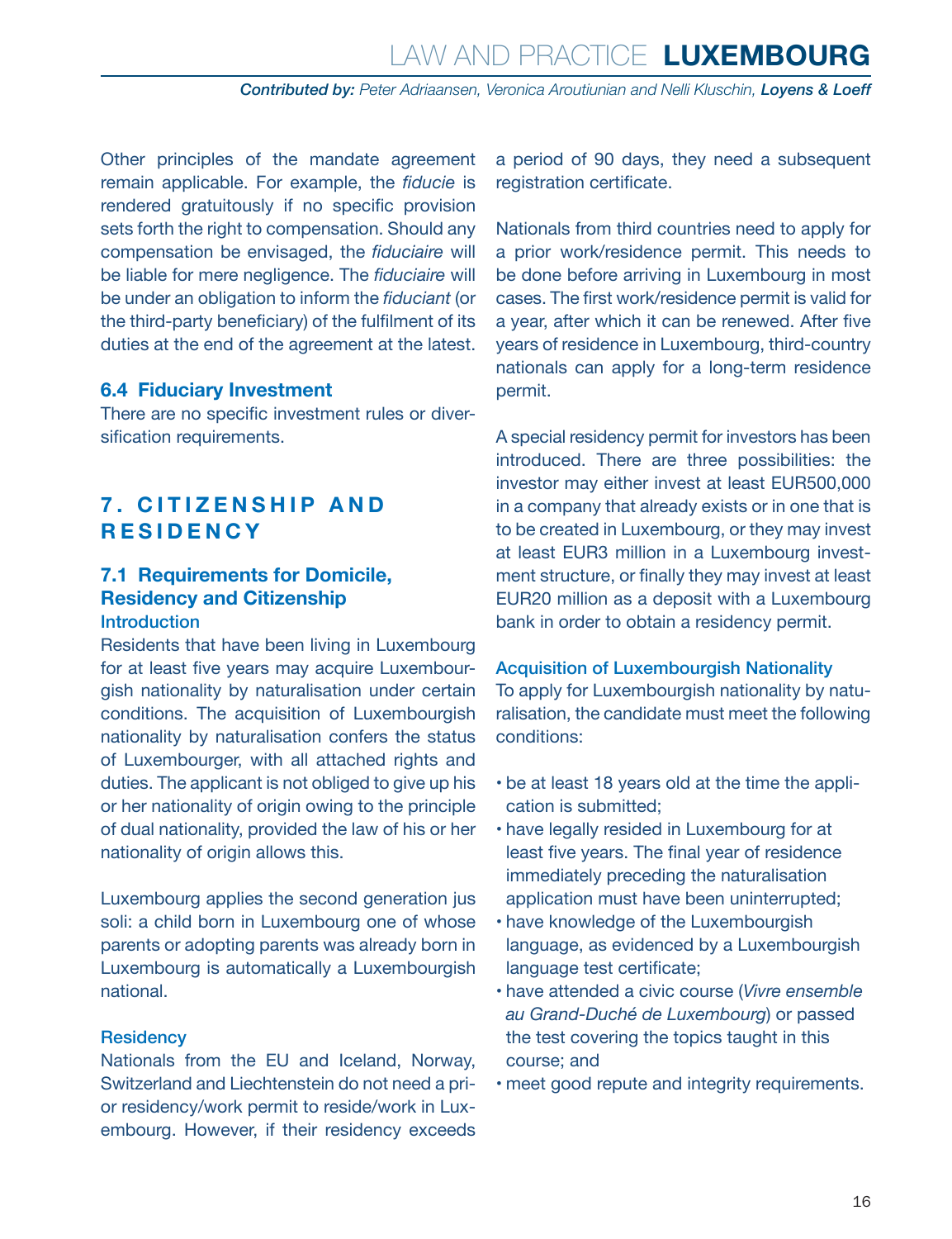<span id="page-15-0"></span>Other principles of the mandate agreement remain applicable. For example, the *fiducie* is rendered gratuitously if no specific provision sets forth the right to compensation. Should any compensation be envisaged, the *fiduciaire* will be liable for mere negligence. The *fiduciaire* will be under an obligation to inform the *fiduciant* (or the third-party beneficiary) of the fulfilment of its duties at the end of the agreement at the latest.

### **6.4 Fiduciary Investment**

There are no specific investment rules or diversification requirements.

### **7. CITIZENSHIP AND RESIDENCY**

### **7.1 Requirements for Domicile, Residency and Citizenship** Introduction

Residents that have been living in Luxembourg for at least five years may acquire Luxembourgish nationality by naturalisation under certain conditions. The acquisition of Luxembourgish nationality by naturalisation confers the status of Luxembourger, with all attached rights and duties. The applicant is not obliged to give up his or her nationality of origin owing to the principle of dual nationality, provided the law of his or her nationality of origin allows this.

Luxembourg applies the second generation jus soli: a child born in Luxembourg one of whose parents or adopting parents was already born in Luxembourg is automatically a Luxembourgish national.

### **Residency**

Nationals from the EU and Iceland, Norway, Switzerland and Liechtenstein do not need a prior residency/work permit to reside/work in Luxembourg. However, if their residency exceeds a period of 90 days, they need a subsequent registration certificate.

Nationals from third countries need to apply for a prior work/residence permit. This needs to be done before arriving in Luxembourg in most cases. The first work/residence permit is valid for a year, after which it can be renewed. After five years of residence in Luxembourg, third-country nationals can apply for a long-term residence permit.

A special residency permit for investors has been introduced. There are three possibilities: the investor may either invest at least EUR500,000 in a company that already exists or in one that is to be created in Luxembourg, or they may invest at least EUR3 million in a Luxembourg investment structure, or finally they may invest at least EUR20 million as a deposit with a Luxembourg bank in order to obtain a residency permit.

#### Acquisition of Luxembourgish Nationality

To apply for Luxembourgish nationality by naturalisation, the candidate must meet the following conditions:

- be at least 18 years old at the time the application is submitted;
- have legally resided in Luxembourg for at least five years. The final year of residence immediately preceding the naturalisation application must have been uninterrupted;
- have knowledge of the Luxembourgish language, as evidenced by a Luxembourgish language test certificate;
- have attended a civic course (*Vivre ensemble au Grand-Duché de Luxembourg*) or passed the test covering the topics taught in this course; and
- meet good repute and integrity requirements.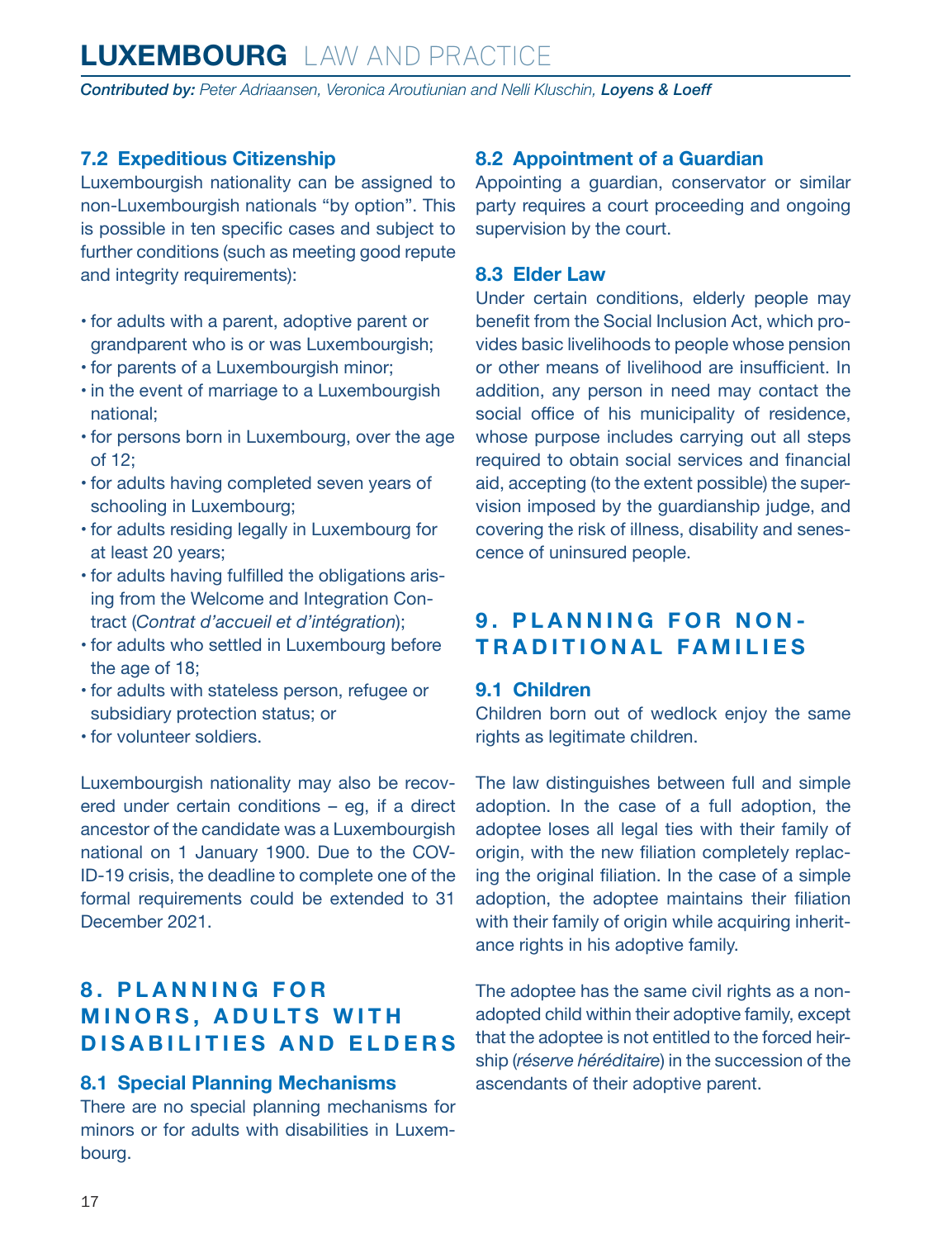<span id="page-16-0"></span>*Contributed by: Peter Adriaansen, Veronica Aroutiunian and Nelli Kluschin, Loyens & Loeff*

### **7.2 Expeditious Citizenship**

Luxembourgish nationality can be assigned to non-Luxembourgish nationals "by option". This is possible in ten specific cases and subject to further conditions (such as meeting good repute and integrity requirements):

- for adults with a parent, adoptive parent or grandparent who is or was Luxembourgish;
- for parents of a Luxembourgish minor;
- in the event of marriage to a Luxembourgish national;
- for persons born in Luxembourg, over the age of 12;
- for adults having completed seven years of schooling in Luxembourg;
- for adults residing legally in Luxembourg for at least 20 years;
- for adults having fulfilled the obligations arising from the Welcome and Integration Contract (*Contrat d'accueil et d'intégration*);
- for adults who settled in Luxembourg before the age of 18;
- for adults with stateless person, refugee or subsidiary protection status; or
- for volunteer soldiers.

Luxembourgish nationality may also be recovered under certain conditions – eg, if a direct ancestor of the candidate was a Luxembourgish national on 1 January 1900. Due to the COV-ID-19 crisis, the deadline to complete one of the formal requirements could be extended to 31 December 2021.

### **8 . P L A N N I N G F O R MINORS, ADULTS WITH DISABILITIES AND ELDERS**

### **8.1 Special Planning Mechanisms**

There are no special planning mechanisms for minors or for adults with disabilities in Luxembourg.

### **8.2 Appointment of a Guardian**

Appointing a guardian, conservator or similar party requires a court proceeding and ongoing supervision by the court.

### **8.3 Elder Law**

Under certain conditions, elderly people may benefit from the Social Inclusion Act, which provides basic livelihoods to people whose pension or other means of livelihood are insufficient. In addition, any person in need may contact the social office of his municipality of residence, whose purpose includes carrying out all steps required to obtain social services and financial aid, accepting (to the extent possible) the supervision imposed by the guardianship judge, and covering the risk of illness, disability and senescence of uninsured people.

### **9. PLANNING FOR NON-TRADITIONAL FAMILIES**

### **9.1 Children**

Children born out of wedlock enjoy the same rights as legitimate children.

The law distinguishes between full and simple adoption. In the case of a full adoption, the adoptee loses all legal ties with their family of origin, with the new filiation completely replacing the original filiation. In the case of a simple adoption, the adoptee maintains their filiation with their family of origin while acquiring inheritance rights in his adoptive family.

The adoptee has the same civil rights as a nonadopted child within their adoptive family, except that the adoptee is not entitled to the forced heirship (*réserve héréditaire*) in the succession of the ascendants of their adoptive parent.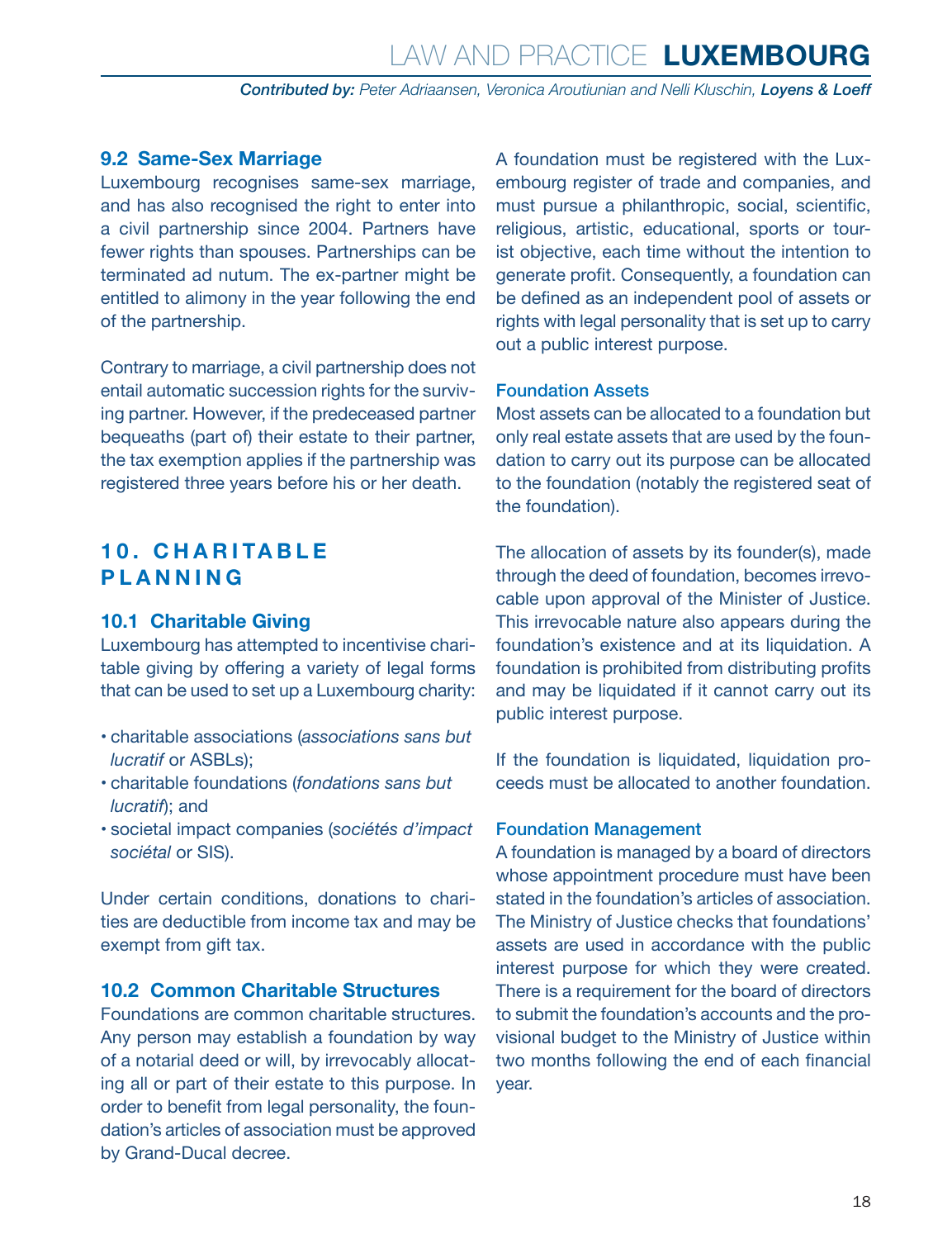### <span id="page-17-0"></span>**9.2 Same-Sex Marriage**

Luxembourg recognises same-sex marriage, and has also recognised the right to enter into a civil partnership since 2004. Partners have fewer rights than spouses. Partnerships can be terminated ad nutum. The ex-partner might be entitled to alimony in the year following the end of the partnership.

Contrary to marriage, a civil partnership does not entail automatic succession rights for the surviving partner. However, if the predeceased partner bequeaths (part of) their estate to their partner, the tax exemption applies if the partnership was registered three years before his or her death.

### **1 0 . C H A R I TA B L E PLANNING**

### **10.1 Charitable Giving**

Luxembourg has attempted to incentivise charitable giving by offering a variety of legal forms that can be used to set up a Luxembourg charity:

- charitable associations (*associations sans but lucratif* or ASBLs);
- charitable foundations (*fondations sans but lucratif*); and
- societal impact companies (*sociétés d'impact sociétal* or SIS).

Under certain conditions, donations to charities are deductible from income tax and may be exempt from gift tax.

### **10.2 Common Charitable Structures**

Foundations are common charitable structures. Any person may establish a foundation by way of a notarial deed or will, by irrevocably allocating all or part of their estate to this purpose. In order to benefit from legal personality, the foundation's articles of association must be approved by Grand-Ducal decree.

A foundation must be registered with the Luxembourg register of trade and companies, and must pursue a philanthropic, social, scientific, religious, artistic, educational, sports or tourist objective, each time without the intention to generate profit. Consequently, a foundation can be defined as an independent pool of assets or rights with legal personality that is set up to carry out a public interest purpose.

### Foundation Assets

Most assets can be allocated to a foundation but only real estate assets that are used by the foundation to carry out its purpose can be allocated to the foundation (notably the registered seat of the foundation).

The allocation of assets by its founder(s), made through the deed of foundation, becomes irrevocable upon approval of the Minister of Justice. This irrevocable nature also appears during the foundation's existence and at its liquidation. A foundation is prohibited from distributing profits and may be liquidated if it cannot carry out its public interest purpose.

If the foundation is liquidated, liquidation proceeds must be allocated to another foundation.

### Foundation Management

A foundation is managed by a board of directors whose appointment procedure must have been stated in the foundation's articles of association. The Ministry of Justice checks that foundations' assets are used in accordance with the public interest purpose for which they were created. There is a requirement for the board of directors to submit the foundation's accounts and the provisional budget to the Ministry of Justice within two months following the end of each financial year.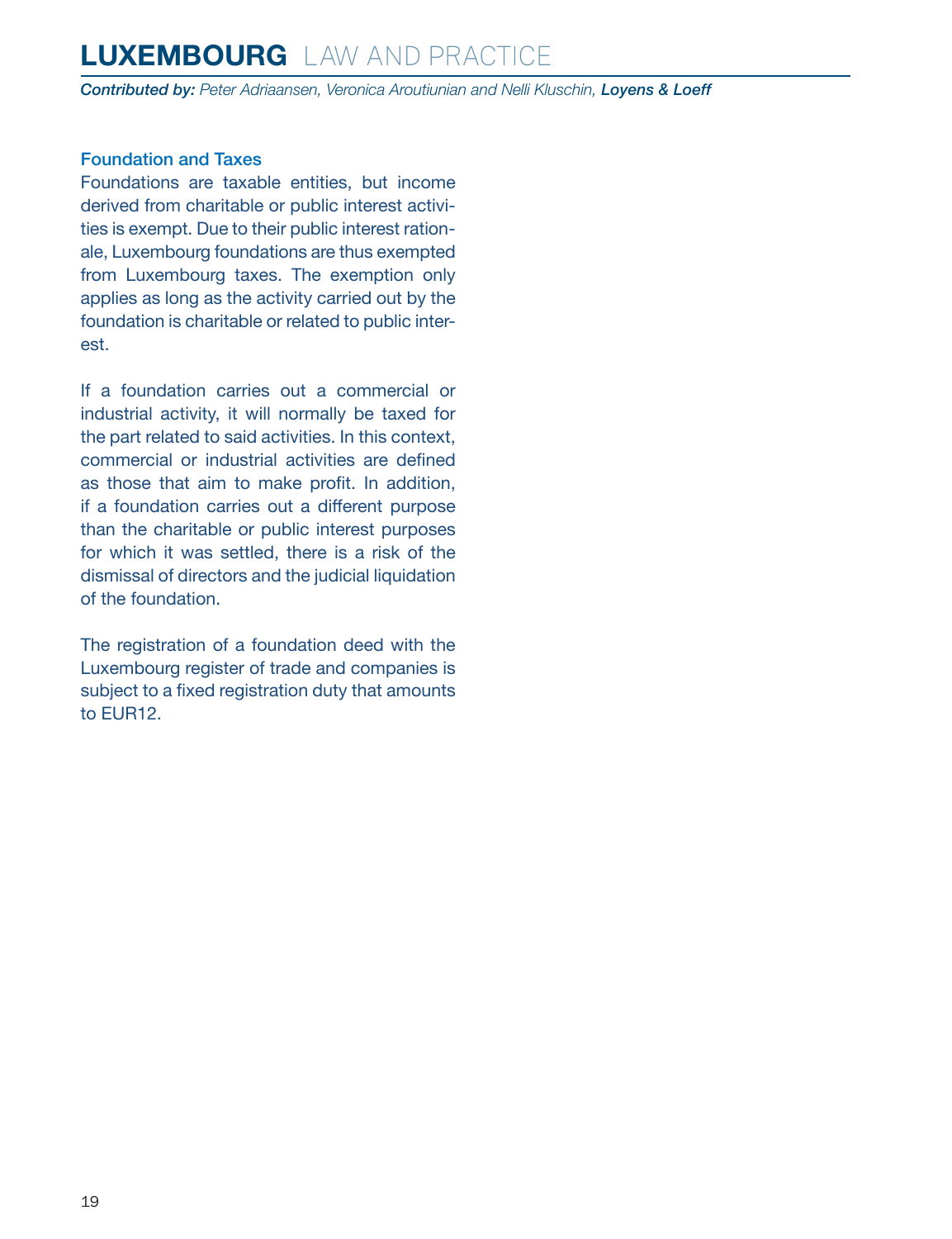*Contributed by: Peter Adriaansen, Veronica Aroutiunian and Nelli Kluschin, Loyens & Loeff*

### Foundation and Taxes

Foundations are taxable entities, but income derived from charitable or public interest activities is exempt. Due to their public interest rationale, Luxembourg foundations are thus exempted from Luxembourg taxes. The exemption only applies as long as the activity carried out by the foundation is charitable or related to public interest.

If a foundation carries out a commercial or industrial activity, it will normally be taxed for the part related to said activities. In this context, commercial or industrial activities are defined as those that aim to make profit. In addition, if a foundation carries out a different purpose than the charitable or public interest purposes for which it was settled, there is a risk of the dismissal of directors and the judicial liquidation of the foundation.

The registration of a foundation deed with the Luxembourg register of trade and companies is subject to a fixed registration duty that amounts to EUR12.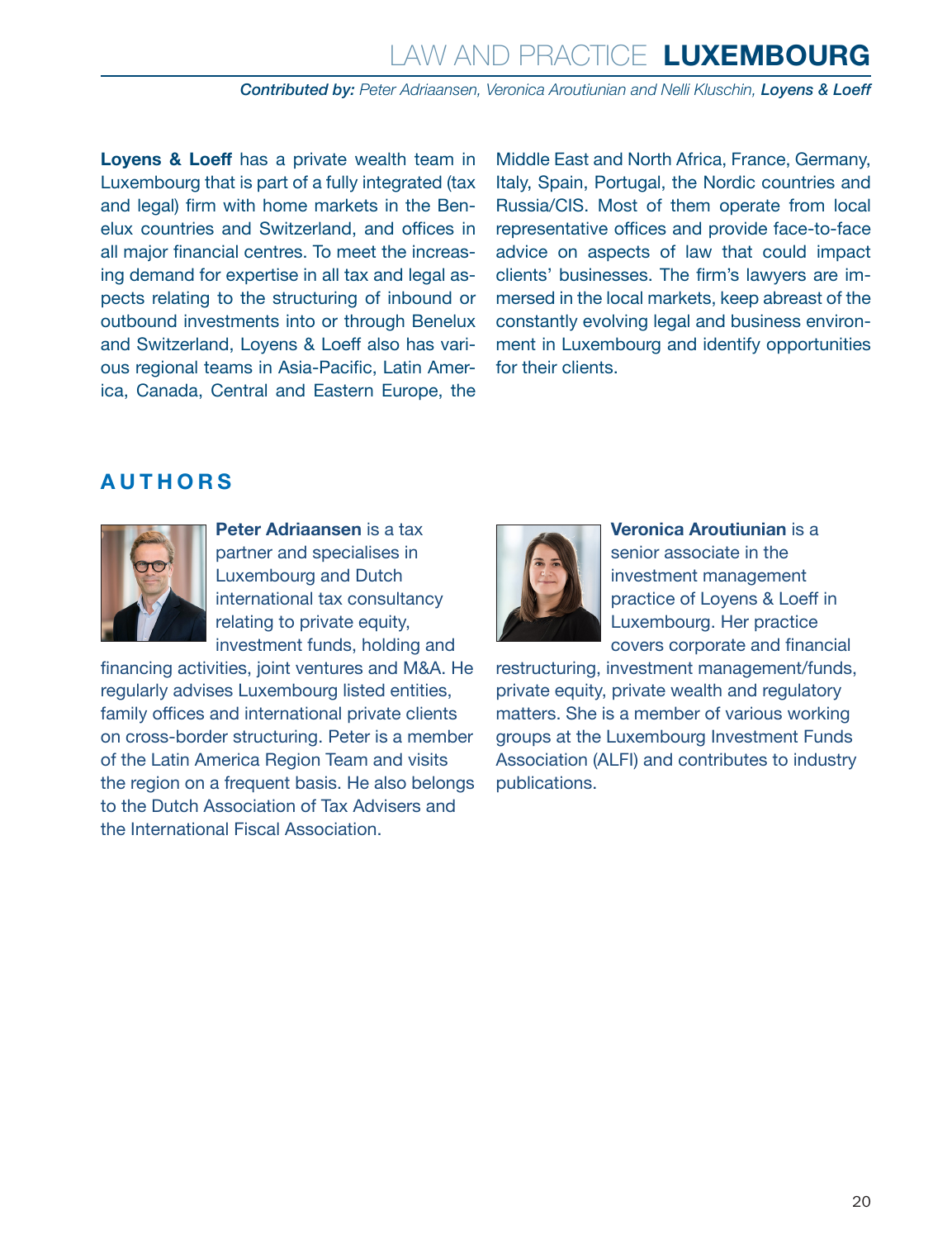### Law and Practice **LUXEMBOURG**

**Contributed by:** Peter Adriaansen, Veronica Aroutiunian and Nelli Kluschin, Lovens & Loeff

**Loyens & Loeff** has a private wealth team in Luxembourg that is part of a fully integrated (tax and legal) firm with home markets in the Benelux countries and Switzerland, and offices in all major financial centres. To meet the increasing demand for expertise in all tax and legal aspects relating to the structuring of inbound or outbound investments into or through Benelux and Switzerland, Loyens & Loeff also has various regional teams in Asia-Pacific, Latin America, Canada, Central and Eastern Europe, the

Middle East and North Africa, France, Germany, Italy, Spain, Portugal, the Nordic countries and Russia/CIS. Most of them operate from local representative offices and provide face-to-face advice on aspects of law that could impact clients' businesses. The firm's lawyers are immersed in the local markets, keep abreast of the constantly evolving legal and business environment in Luxembourg and identify opportunities for their clients.

### <span id="page-19-0"></span>**AUTHORS**



**Peter Adriaansen** is a tax partner and specialises in Luxembourg and Dutch international tax consultancy relating to private equity, investment funds, holding and

financing activities, joint ventures and M&A. He regularly advises Luxembourg listed entities, family offices and international private clients on cross-border structuring. Peter is a member of the Latin America Region Team and visits the region on a frequent basis. He also belongs to the Dutch Association of Tax Advisers and the International Fiscal Association.



**Veronica Aroutiunian** is a senior associate in the investment management practice of Loyens & Loeff in Luxembourg. Her practice covers corporate and financial

restructuring, investment management/funds, private equity, private wealth and regulatory matters. She is a member of various working groups at the Luxembourg Investment Funds Association (ALFI) and contributes to industry publications.